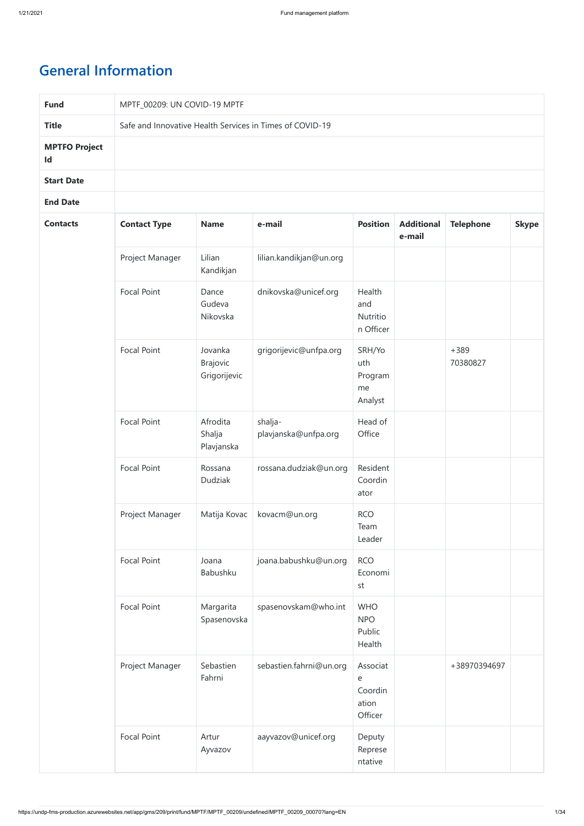## **General Information**

| <b>Fund</b>                | MPTF_00209: UN COVID-19 MPTF |                                            |                                                          |                                              |                             |                    |              |
|----------------------------|------------------------------|--------------------------------------------|----------------------------------------------------------|----------------------------------------------|-----------------------------|--------------------|--------------|
| <b>Title</b>               |                              |                                            | Safe and Innovative Health Services in Times of COVID-19 |                                              |                             |                    |              |
| <b>MPTFO Project</b><br>Id |                              |                                            |                                                          |                                              |                             |                    |              |
| <b>Start Date</b>          |                              |                                            |                                                          |                                              |                             |                    |              |
| <b>End Date</b>            |                              |                                            |                                                          |                                              |                             |                    |              |
| <b>Contacts</b>            | <b>Contact Type</b>          | <b>Name</b>                                | e-mail                                                   | <b>Position</b>                              | <b>Additional</b><br>e-mail | <b>Telephone</b>   | <b>Skype</b> |
|                            | Project Manager              | Lilian<br>Kandikjan                        | lilian.kandikjan@un.org                                  |                                              |                             |                    |              |
|                            | <b>Focal Point</b>           | Dance<br>Gudeva<br>Nikovska                | dnikovska@unicef.org                                     | Health<br>and<br>Nutritio<br>n Officer       |                             |                    |              |
|                            | <b>Focal Point</b>           | Jovanka<br><b>Brajovic</b><br>Grigorijevic | grigorijevic@unfpa.org                                   | SRH/Yo<br>uth<br>Program<br>me<br>Analyst    |                             | $+389$<br>70380827 |              |
|                            | Focal Point                  | Afrodita<br>Shalja<br>Plavjanska           | shalja-<br>plavjanska@unfpa.org                          | Head of<br>Office                            |                             |                    |              |
|                            | Focal Point                  | Rossana<br>Dudziak                         | rossana.dudziak@un.org                                   | Resident<br>Coordin<br>ator                  |                             |                    |              |
|                            | Project Manager              | Matija Kovac                               | kovacm@un.org                                            | <b>RCO</b><br>Team<br>Leader                 |                             |                    |              |
|                            | <b>Focal Point</b>           | Joana<br>Babushku                          | joana.babushku@un.org                                    | <b>RCO</b><br>Economi<br>st                  |                             |                    |              |
|                            | <b>Focal Point</b>           | Margarita<br>Spasenovska                   | spasenovskam@who.int                                     | <b>WHO</b><br><b>NPO</b><br>Public<br>Health |                             |                    |              |
|                            | Project Manager              | Sebastien<br>Fahrni                        | sebastien.fahrni@un.org                                  | Associat<br>e<br>Coordin<br>ation<br>Officer |                             | +38970394697       |              |
|                            | Focal Point                  | Artur<br>Ayvazov                           | aayvazov@unicef.org                                      | Deputy<br>Represe<br>ntative                 |                             |                    |              |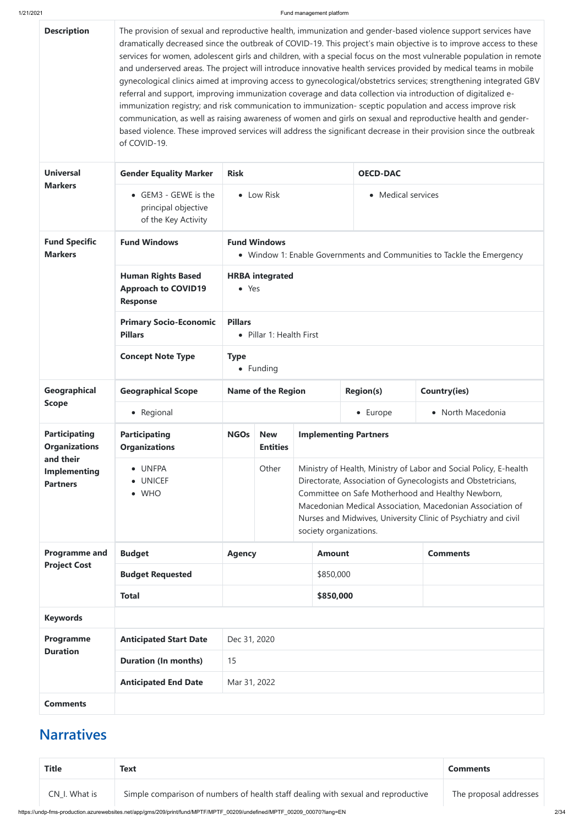https://undp-fms-production.azurewebsites.net/app/gms/209/print/fund/MPTF/MPTF\_00209/undefined/MPTF\_00209\_00070?lang=EN 2/34

| <b>Description</b>                                  | The provision of sexual and reproductive health, immunization and gender-based violence support services have<br>dramatically decreased since the outbreak of COVID-19. This project's main objective is to improve access to these<br>services for women, adolescent girls and children, with a special focus on the most vulnerable population in remote<br>and underserved areas. The project will introduce innovative health services provided by medical teams in mobile<br>gynecological clinics aimed at improving access to gynecological/obstetrics services; strengthening integrated GBV<br>referral and support, improving immunization coverage and data collection via introduction of digitalized e-<br>immunization registry; and risk communication to immunization- sceptic population and access improve risk<br>communication, as well as raising awareness of women and girls on sexual and reproductive health and gender-<br>based violence. These improved services will address the significant decrease in their provision since the outbreak<br>of COVID-19. |                                                                                               |                               |                                                                                                                                                                                                                                                                                                                       |                              |                     |  |
|-----------------------------------------------------|------------------------------------------------------------------------------------------------------------------------------------------------------------------------------------------------------------------------------------------------------------------------------------------------------------------------------------------------------------------------------------------------------------------------------------------------------------------------------------------------------------------------------------------------------------------------------------------------------------------------------------------------------------------------------------------------------------------------------------------------------------------------------------------------------------------------------------------------------------------------------------------------------------------------------------------------------------------------------------------------------------------------------------------------------------------------------------------|-----------------------------------------------------------------------------------------------|-------------------------------|-----------------------------------------------------------------------------------------------------------------------------------------------------------------------------------------------------------------------------------------------------------------------------------------------------------------------|------------------------------|---------------------|--|
| <b>Universal</b>                                    | <b>Gender Equality Marker</b>                                                                                                                                                                                                                                                                                                                                                                                                                                                                                                                                                                                                                                                                                                                                                                                                                                                                                                                                                                                                                                                            | <b>Risk</b>                                                                                   |                               |                                                                                                                                                                                                                                                                                                                       | <b>OECD-DAC</b>              |                     |  |
| <b>Markers</b>                                      | • GEM3 - GEWE is the<br>principal objective<br>of the Key Activity                                                                                                                                                                                                                                                                                                                                                                                                                                                                                                                                                                                                                                                                                                                                                                                                                                                                                                                                                                                                                       |                                                                                               | • Low Risk                    |                                                                                                                                                                                                                                                                                                                       | • Medical services           |                     |  |
| <b>Fund Specific</b><br><b>Markers</b>              | <b>Fund Windows</b>                                                                                                                                                                                                                                                                                                                                                                                                                                                                                                                                                                                                                                                                                                                                                                                                                                                                                                                                                                                                                                                                      | <b>Fund Windows</b><br>• Window 1: Enable Governments and Communities to Tackle the Emergency |                               |                                                                                                                                                                                                                                                                                                                       |                              |                     |  |
|                                                     | <b>Human Rights Based</b><br><b>Approach to COVID19</b><br><b>Response</b>                                                                                                                                                                                                                                                                                                                                                                                                                                                                                                                                                                                                                                                                                                                                                                                                                                                                                                                                                                                                               | <b>HRBA</b> integrated<br>• Yes                                                               |                               |                                                                                                                                                                                                                                                                                                                       |                              |                     |  |
|                                                     | <b>Primary Socio-Economic</b><br><b>Pillars</b>                                                                                                                                                                                                                                                                                                                                                                                                                                                                                                                                                                                                                                                                                                                                                                                                                                                                                                                                                                                                                                          | <b>Pillars</b><br>Pillar 1: Health First                                                      |                               |                                                                                                                                                                                                                                                                                                                       |                              |                     |  |
|                                                     | <b>Concept Note Type</b>                                                                                                                                                                                                                                                                                                                                                                                                                                                                                                                                                                                                                                                                                                                                                                                                                                                                                                                                                                                                                                                                 | <b>Type</b><br>• Funding                                                                      |                               |                                                                                                                                                                                                                                                                                                                       |                              |                     |  |
| Geographical                                        | <b>Geographical Scope</b>                                                                                                                                                                                                                                                                                                                                                                                                                                                                                                                                                                                                                                                                                                                                                                                                                                                                                                                                                                                                                                                                | <b>Name of the Region</b>                                                                     |                               |                                                                                                                                                                                                                                                                                                                       | <b>Region(s)</b>             | <b>Country(ies)</b> |  |
| <b>Scope</b>                                        | • Regional                                                                                                                                                                                                                                                                                                                                                                                                                                                                                                                                                                                                                                                                                                                                                                                                                                                                                                                                                                                                                                                                               |                                                                                               |                               |                                                                                                                                                                                                                                                                                                                       | • Europe                     | • North Macedonia   |  |
| <b>Participating</b><br><b>Organizations</b>        | <b>Participating</b><br><b>Organizations</b>                                                                                                                                                                                                                                                                                                                                                                                                                                                                                                                                                                                                                                                                                                                                                                                                                                                                                                                                                                                                                                             | <b>NGOs</b>                                                                                   | <b>New</b><br><b>Entities</b> |                                                                                                                                                                                                                                                                                                                       | <b>Implementing Partners</b> |                     |  |
| and their<br><b>Implementing</b><br><b>Partners</b> | <b>UNFPA</b><br>$\bullet$<br><b>UNICEF</b><br><b>WHO</b><br>$\bullet$                                                                                                                                                                                                                                                                                                                                                                                                                                                                                                                                                                                                                                                                                                                                                                                                                                                                                                                                                                                                                    | Other<br>society organizations.                                                               |                               | Ministry of Health, Ministry of Labor and Social Policy, E-health<br>Directorate, Association of Gynecologists and Obstetricians,<br>Committee on Safe Motherhood and Healthy Newborn,<br>Macedonian Medical Association, Macedonian Association of<br>Nurses and Midwives, University Clinic of Psychiatry and civil |                              |                     |  |
| <b>Programme and</b>                                | <b>Budget</b>                                                                                                                                                                                                                                                                                                                                                                                                                                                                                                                                                                                                                                                                                                                                                                                                                                                                                                                                                                                                                                                                            | <b>Agency</b>                                                                                 |                               | <b>Amount</b>                                                                                                                                                                                                                                                                                                         |                              | <b>Comments</b>     |  |
| <b>Project Cost</b>                                 | <b>Budget Requested</b>                                                                                                                                                                                                                                                                                                                                                                                                                                                                                                                                                                                                                                                                                                                                                                                                                                                                                                                                                                                                                                                                  |                                                                                               |                               | \$850,000                                                                                                                                                                                                                                                                                                             |                              |                     |  |
|                                                     | <b>Total</b>                                                                                                                                                                                                                                                                                                                                                                                                                                                                                                                                                                                                                                                                                                                                                                                                                                                                                                                                                                                                                                                                             |                                                                                               |                               | \$850,000                                                                                                                                                                                                                                                                                                             |                              |                     |  |
| <b>Keywords</b>                                     |                                                                                                                                                                                                                                                                                                                                                                                                                                                                                                                                                                                                                                                                                                                                                                                                                                                                                                                                                                                                                                                                                          |                                                                                               |                               |                                                                                                                                                                                                                                                                                                                       |                              |                     |  |

| Programme<br><b>Duration</b> | <b>Anticipated Start Date</b> | Dec 31, 2020 |
|------------------------------|-------------------------------|--------------|
|                              | <b>Duration (In months)</b>   | 15           |
|                              | <b>Anticipated End Date</b>   | Mar 31, 2022 |
| <b>Comments</b>              |                               |              |

## **Narratives**

| <b>Title</b>  | <b>Text</b>                                                                       | <b>Comments</b>        |
|---------------|-----------------------------------------------------------------------------------|------------------------|
| CN I. What is | Simple comparison of numbers of health staff dealing with sexual and reproductive | The proposal addresses |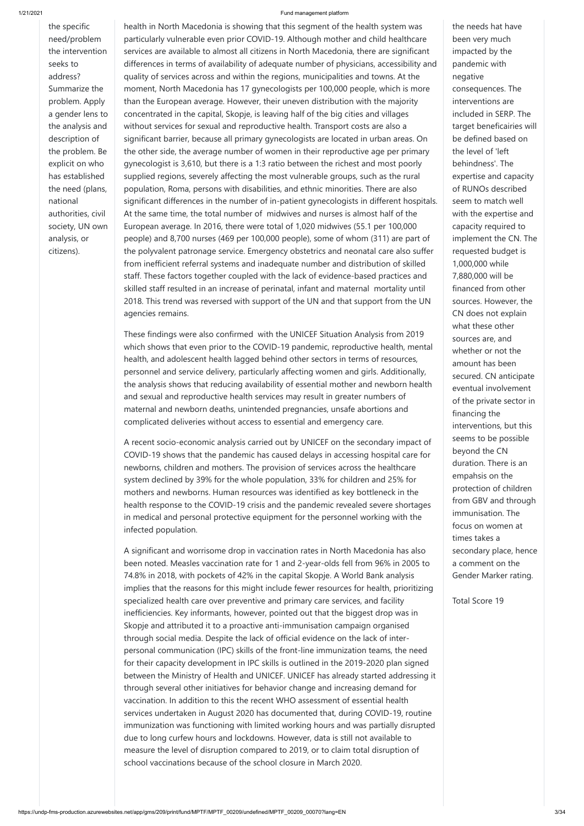the specific need/problem the intervention seeks to address? Summarize the problem. Apply a gender lens to the analysis and description of the problem. Be explicit on who has established the need (plans, national authorities, civil society, UN own analysis, or citizens).

health in North Macedonia is showing that this segment of the health system was particularly vulnerable even prior COVID-19. Although mother and child healthcare services are available to almost all citizens in North Macedonia, there are significant differences in terms of availability of adequate number of physicians, accessibility and quality of services across and within the regions, municipalities and towns. At the moment, North Macedonia has 17 gynecologists per 100,000 people, which is more than the European average. However, their uneven distribution with the majority concentrated in the capital, Skopje, is leaving half of the big cities and villages without services for sexual and reproductive health. Transport costs are also a significant barrier, because all primary gynecologists are located in urban areas. On the other side, the average number of women in their reproductive age per primary gynecologist is 3,610, but there is a 1:3 ratio between the richest and most poorly supplied regions, severely affecting the most vulnerable groups, such as the rural population, Roma, persons with disabilities, and ethnic minorities. There are also significant differences in the number of in-patient gynecologists in different hospitals. At the same time, the total number of midwives and nurses is almost half of the European average. In 2016, there were total of 1,020 midwives (55.1 per 100,000 people) and 8,700 nurses (469 per 100,000 people), some of whom (311) are part of the polyvalent patronage service. Emergency obstetrics and neonatal care also suffer from inefficient referral systems and inadequate number and distribution of skilled staff. These factors together coupled with the lack of evidence-based practices and skilled staff resulted in an increase of perinatal, infant and maternal mortality until 2018. This trend was reversed with support of the UN and that support from the UN agencies remains.

These findings were also confirmed with the UNICEF Situation Analysis from 2019 which shows that even prior to the COVID-19 pandemic, reproductive health, mental health, and adolescent health lagged behind other sectors in terms of resources, personnel and service delivery, particularly affecting women and girls. Additionally, the analysis shows that reducing availability of essential mother and newborn health and sexual and reproductive health services may result in greater numbers of maternal and newborn deaths, unintended pregnancies, unsafe abortions and complicated deliveries without access to essential and emergency care.

A recent socio-economic analysis carried out by UNICEF on the secondary impact of COVID-19 shows that the pandemic has caused delays in accessing hospital care for newborns, children and mothers. The provision of services across the healthcare system declined by 39% for the whole population, 33% for children and 25% for mothers and newborns. Human resources was identified as key bottleneck in the health response to the COVID-19 crisis and the pandemic revealed severe shortages in medical and personal protective equipment for the personnel working with the infected population.

A significant and worrisome drop in vaccination rates in North Macedonia has also been noted. Measles vaccination rate for 1 and 2-year-olds fell from 96% in 2005 to 74.8% in 2018, with pockets of 42% in the capital Skopje. A World Bank analysis implies that the reasons for this might include fewer resources for health, prioritizing specialized health care over preventive and primary care services, and facility inefficiencies. Key informants, however, pointed out that the biggest drop was in Skopje and attributed it to a proactive anti-immunisation campaign organised through social media. Despite the lack of official evidence on the lack of interpersonal communication (IPC) skills of the front-line immunization teams, the need for their capacity development in IPC skills is outlined in the 2019-2020 plan signed between the Ministry of Health and UNICEF. UNICEF has already started addressing it through several other initiatives for behavior change and increasing demand for vaccination. In addition to this the recent WHO assessment of essential health services undertaken in August 2020 has documented that, during COVID-19, routine immunization was functioning with limited working hours and was partially disrupted due to long curfew hours and lockdowns. However, data is still not available to measure the level of disruption compared to 2019, or to claim total disruption of school vaccinations because of the school closure in March 2020.

the needs hat have been very much impacted by the pandemic with negative consequences. The interventions are included in SERP. The target beneficairies will be defined based on the level of 'left behindness'. The expertise and capacity of RUNOs described seem to match well with the expertise and capacity required to implement the CN. The requested budget is 1,000,000 while 7,880,000 will be financed from other sources. However, the CN does not explain what these other sources are, and whether or not the amount has been secured. CN anticipate eventual involvement of the private sector in financing the interventions, but this seems to be possible beyond the CN duration. There is an empahsis on the protection of children from GBV and through immunisation. The focus on women at times takes a secondary place, hence a comment on the Gender Marker rating.

Total Score 19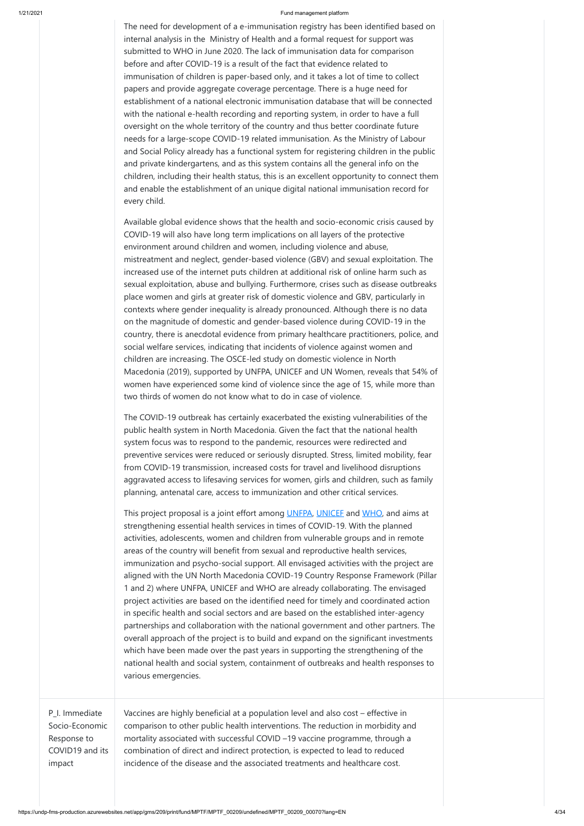The need for development of a e-immunisation registry has been identified based on internal analysis in the Ministry of Health and a formal request for support was submitted to WHO in June 2020. The lack of immunisation data for comparison before and after COVID-19 is a result of the fact that evidence related to immunisation of children is paper-based only, and it takes a lot of time to collect papers and provide aggregate coverage percentage. There is a huge need for establishment of a national electronic immunisation database that will be connected with the national e-health recording and reporting system, in order to have a full oversight on the whole territory of the country and thus better coordinate future needs for a large-scope COVID-19 related immunisation. As the Ministry of Labour and Social Policy already has a functional system for registering children in the public and private kindergartens, and as this system contains all the general info on the children, including their health status, this is an excellent opportunity to connect them and enable the establishment of an unique digital national immunisation record for every child.

This project proposal is a joint effort among [UNFPA,](https://mk.unfpa.org/en) [UNICEF](https://www.unicef.org/northmacedonia/) and [WHO,](https://www.euro.who.int/en/countries/north-macedonia) and aims at strengthening essential health services in times of COVID-19. With the planned activities, adolescents, women and children from vulnerable groups and in remote areas of the country will benefit from sexual and reproductive health services, immunization and psycho-social support. All envisaged activities with the project are aligned with the UN North Macedonia COVID-19 Country Response Framework (Pillar 1 and 2) where UNFPA, UNICEF and WHO are already collaborating. The envisaged project activities are based on the identified need for timely and coordinated action in specific health and social sectors and are based on the established inter-agency

Available global evidence shows that the health and socio-economic crisis caused by COVID-19 will also have long term implications on all layers of the protective environment around children and women, including violence and abuse, mistreatment and neglect, gender-based violence (GBV) and sexual exploitation. The increased use of the internet puts children at additional risk of online harm such as sexual exploitation, abuse and bullying. Furthermore, crises such as disease outbreaks place women and girls at greater risk of domestic violence and GBV, particularly in contexts where gender inequality is already pronounced. Although there is no data on the magnitude of domestic and gender-based violence during COVID-19 in the country, there is anecdotal evidence from primary healthcare practitioners, police, and social welfare services, indicating that incidents of violence against women and children are increasing. The OSCE-led study on domestic violence in North Macedonia (2019), supported by UNFPA, UNICEF and UN Women, reveals that 54% of women have experienced some kind of violence since the age of 15, while more than two thirds of women do not know what to do in case of violence.

The COVID-19 outbreak has certainly exacerbated the existing vulnerabilities of the public health system in North Macedonia. Given the fact that the national health system focus was to respond to the pandemic, resources were redirected and preventive services were reduced or seriously disrupted. Stress, limited mobility, fear from COVID-19 transmission, increased costs for travel and livelihood disruptions aggravated access to lifesaving services for women, girls and children, such as family planning, antenatal care, access to immunization and other critical services.

|                                                                              | partnerships and collaboration with the national government and other partners. The<br>overall approach of the project is to build and expand on the significant investments<br>which have been made over the past years in supporting the strengthening of the<br>national health and social system, containment of outbreaks and health responses to<br>various emergencies.                                      |  |
|------------------------------------------------------------------------------|---------------------------------------------------------------------------------------------------------------------------------------------------------------------------------------------------------------------------------------------------------------------------------------------------------------------------------------------------------------------------------------------------------------------|--|
| P_I. Immediate<br>Socio-Economic<br>Response to<br>COVID19 and its<br>impact | Vaccines are highly beneficial at a population level and also cost – effective in<br>comparison to other public health interventions. The reduction in morbidity and<br>mortality associated with successful COVID -19 vaccine programme, through a<br>combination of direct and indirect protection, is expected to lead to reduced<br>incidence of the disease and the associated treatments and healthcare cost. |  |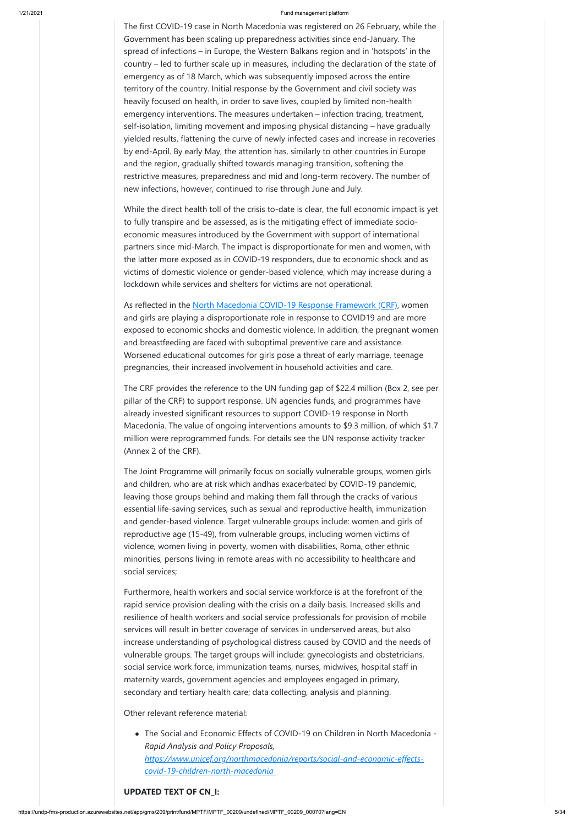The first COVID-19 case in North Macedonia was registered on 26 February, while the Government has been scaling up preparedness activities since end-January. The spread of infections – in Europe, the Western Balkans region and in 'hotspots' in the country – led to further scale up in measures, including the declaration of the state of emergency as of 18 March, which was subsequently imposed across the entire territory of the country. Initial response by the Government and civil society was heavily focused on health, in order to save lives, coupled by limited non-health emergency interventions. The measures undertaken – infection tracing, treatment, self-isolation, limiting movement and imposing physical distancing – have gradually yielded results, flattening the curve of newly infected cases and increase in recoveries by end-April. By early May, the attention has, similarly to other countries in Europe and the region, gradually shifted towards managing transition, softening the restrictive measures, preparedness and mid and long-term recovery. The number of new infections, however, continued to rise through June and July.

As reflected in the [North Macedonia COVID-19 Response Framework \(CRF\),](https://northmacedonia.un.org/sites/default/files/2020-10/MKD-COVID_19-Response-Framework-20200730_costed.pdf) women and girls are playing a disproportionate role in response to COVID19 and are more exposed to economic shocks and domestic violence. In addition, the pregnant women and breastfeeding are faced with suboptimal preventive care and assistance. Worsened educational outcomes for girls pose a threat of early marriage, teenage pregnancies, their increased involvement in household activities and care.

While the direct health toll of the crisis to-date is clear, the full economic impact is yet to fully transpire and be assessed, as is the mitigating effect of immediate socioeconomic measures introduced by the Government with support of international partners since mid-March. The impact is disproportionate for men and women, with the latter more exposed as in COVID-19 responders, due to economic shock and as victims of domestic violence or gender-based violence, which may increase during a lockdown while services and shelters for victims are not operational.

The CRF provides the reference to the UN funding gap of \$22.4 million (Box 2, see per pillar of the CRF) to support response. UN agencies funds, and programmes have already invested significant resources to support COVID-19 response in North Macedonia. The value of ongoing interventions amounts to \$9.3 million, of which \$1.7 million were reprogrammed funds. For details see the UN response activity tracker (Annex 2 of the CRF).

The Joint Programme will primarily focus on socially vulnerable groups, women girls and children, who are at risk which andhas exacerbated by COVID-19 pandemic, leaving those groups behind and making them fall through the cracks of various essential life-saving services, such as sexual and reproductive health, immunization and gender-based violence. Target vulnerable groups include: women and girls of reproductive age (15-49), from vulnerable groups, including women victims of violence, women living in poverty, women with disabilities, Roma, other ethnic minorities, persons living in remote areas with no accessibility to healthcare and social services;

Furthermore, health workers and social service workforce is at the forefront of the rapid service provision dealing with the crisis on a daily basis. Increased skills and resilience of health workers and social service professionals for provision of mobile services will result in better coverage of services in underserved areas, but also increase understanding of psychological distress caused by COVID and the needs of vulnerable groups. The target groups will include: gynecologists and obstetricians, social service work force, immunization teams, nurses, midwives, hospital staff in maternity wards, government agencies and employees engaged in primary, secondary and tertiary health care; data collecting, analysis and planning.

Other relevant reference material:

The Social and Economic Effects of COVID-19 on Children in North Macedonia - *Rapid Analysis and Policy Proposals,*

*[https://www.unicef.org/northmacedonia/reports/social-and-economic-effects](https://www.unicef.org/northmacedonia/reports/social-and-economic-effects-covid-19-children-north-macedonia)covid-19-children-north-macedonia*

## **UPDATED TEXT OF CN\_I:**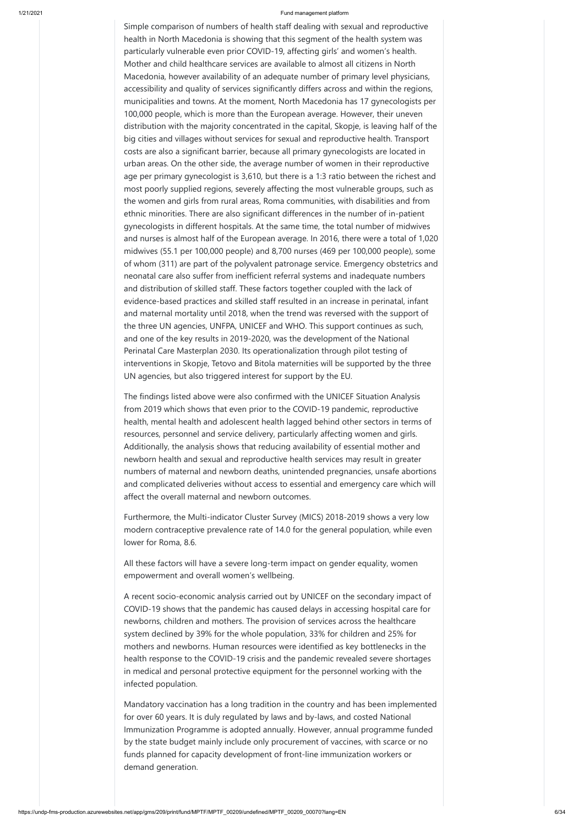Simple comparison of numbers of health staff dealing with sexual and reproductive health in North Macedonia is showing that this segment of the health system was particularly vulnerable even prior COVID-19, affecting girls' and women's health. Mother and child healthcare services are available to almost all citizens in North Macedonia, however availability of an adequate number of primary level physicians, accessibility and quality of services significantly differs across and within the regions, municipalities and towns. At the moment, North Macedonia has 17 gynecologists per 100,000 people, which is more than the European average. However, their uneven distribution with the majority concentrated in the capital, Skopje, is leaving half of the big cities and villages without services for sexual and reproductive health. Transport costs are also a significant barrier, because all primary gynecologists are located in urban areas. On the other side, the average number of women in their reproductive age per primary gynecologist is 3,610, but there is a 1:3 ratio between the richest and most poorly supplied regions, severely affecting the most vulnerable groups, such as the women and girls from rural areas, Roma communities, with disabilities and from ethnic minorities. There are also significant differences in the number of in-patient gynecologists in different hospitals. At the same time, the total number of midwives and nurses is almost half of the European average. In 2016, there were a total of 1,020 midwives (55.1 per 100,000 people) and 8,700 nurses (469 per 100,000 people), some of whom (311) are part of the polyvalent patronage service. Emergency obstetrics and neonatal care also suffer from inefficient referral systems and inadequate numbers and distribution of skilled staff. These factors together coupled with the lack of evidence-based practices and skilled staff resulted in an increase in perinatal, infant and maternal mortality until 2018, when the trend was reversed with the support of the three UN agencies, UNFPA, UNICEF and WHO. This support continues as such, and one of the key results in 2019-2020, was the development of the National Perinatal Care Masterplan 2030. Its operationalization through pilot testing of interventions in Skopje, Tetovo and Bitola maternities will be supported by the three UN agencies, but also triggered interest for support by the EU.

The findings listed above were also confirmed with the UNICEF Situation Analysis from 2019 which shows that even prior to the COVID-19 pandemic, reproductive health, mental health and adolescent health lagged behind other sectors in terms of resources, personnel and service delivery, particularly affecting women and girls. Additionally, the analysis shows that reducing availability of essential mother and newborn health and sexual and reproductive health services may result in greater numbers of maternal and newborn deaths, unintended pregnancies, unsafe abortions and complicated deliveries without access to essential and emergency care which will affect the overall maternal and newborn outcomes.

Furthermore, the Multi-indicator Cluster Survey (MICS) 2018-2019 shows a very low modern contraceptive prevalence rate of 14.0 for the general population, while even lower for Roma, 8.6.

All these factors will have a severe long-term impact on gender equality, women empowerment and overall women's wellbeing.

A recent socio-economic analysis carried out by UNICEF on the secondary impact of COVID-19 shows that the pandemic has caused delays in accessing hospital care for newborns, children and mothers. The provision of services across the healthcare system declined by 39% for the whole population, 33% for children and 25% for mothers and newborns. Human resources were identified as key bottlenecks in the health response to the COVID-19 crisis and the pandemic revealed severe shortages in medical and personal protective equipment for the personnel working with the infected population.

Mandatory vaccination has a long tradition in the country and has been implemented for over 60 years. It is duly regulated by laws and by-laws, and costed National Immunization Programme is adopted annually. However, annual programme funded by the state budget mainly include only procurement of vaccines, with scarce or no funds planned for capacity development of front-line immunization workers or demand generation.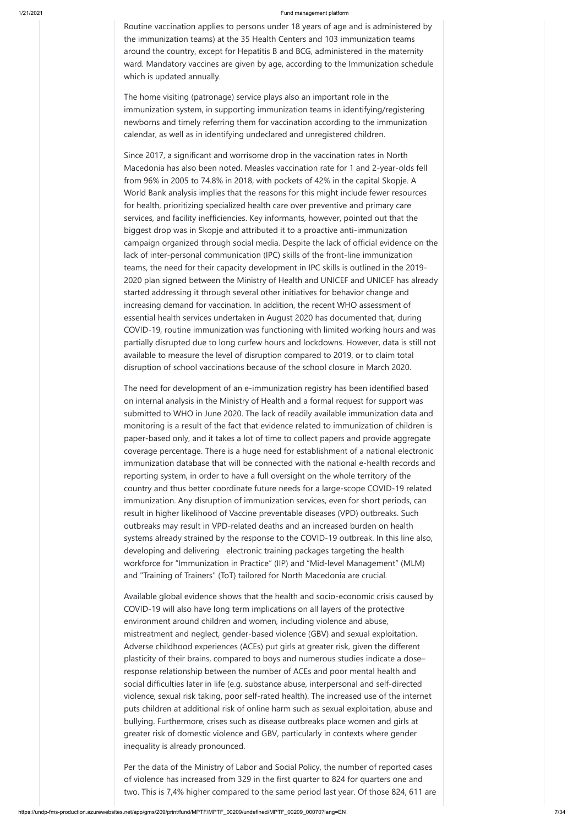Routine vaccination applies to persons under 18 years of age and is administered by the immunization teams) at the 35 Health Centers and 103 immunization teams around the country, except for Hepatitis B and BCG, administered in the maternity ward. Mandatory vaccines are given by age, according to the Immunization schedule which is updated annually.

The home visiting (patronage) service plays also an important role in the immunization system, in supporting immunization teams in identifying/registering newborns and timely referring them for vaccination according to the immunization calendar, as well as in identifying undeclared and unregistered children.

Since 2017, a significant and worrisome drop in the vaccination rates in North Macedonia has also been noted. Measles vaccination rate for 1 and 2-year-olds fell from 96% in 2005 to 74.8% in 2018, with pockets of 42% in the capital Skopje. A World Bank analysis implies that the reasons for this might include fewer resources for health, prioritizing specialized health care over preventive and primary care services, and facility inefficiencies. Key informants, however, pointed out that the biggest drop was in Skopje and attributed it to a proactive anti-immunization campaign organized through social media. Despite the lack of official evidence on the lack of inter-personal communication (IPC) skills of the front-line immunization teams, the need for their capacity development in IPC skills is outlined in the 2019- 2020 plan signed between the Ministry of Health and UNICEF and UNICEF has already started addressing it through several other initiatives for behavior change and increasing demand for vaccination. In addition, the recent WHO assessment of essential health services undertaken in August 2020 has documented that, during COVID-19, routine immunization was functioning with limited working hours and was partially disrupted due to long curfew hours and lockdowns. However, data is still not available to measure the level of disruption compared to 2019, or to claim total disruption of school vaccinations because of the school closure in March 2020.

The need for development of an e-immunization registry has been identified based on internal analysis in the Ministry of Health and a formal request for support was submitted to WHO in June 2020. The lack of readily available immunization data and monitoring is a result of the fact that evidence related to immunization of children is paper-based only, and it takes a lot of time to collect papers and provide aggregate coverage percentage. There is a huge need for establishment of a national electronic immunization database that will be connected with the national e-health records and reporting system, in order to have a full oversight on the whole territory of the country and thus better coordinate future needs for a large-scope COVID-19 related immunization. Any disruption of immunization services, even for short periods, can result in higher likelihood of Vaccine preventable diseases (VPD) outbreaks. Such outbreaks may result in VPD-related deaths and an increased burden on health systems already strained by the response to the COVID-19 outbreak. In this line also, developing and delivering electronic training packages targeting the health workforce for "Immunization in Practice" (IIP) and "Mid-level Management" (MLM) and "Training of Trainers" (ToT) tailored for North Macedonia are crucial.

Available global evidence shows that the health and socio-economic crisis caused by COVID-19 will also have long term implications on all layers of the protective environment around children and women, including violence and abuse, mistreatment and neglect, gender-based violence (GBV) and sexual exploitation. Adverse childhood experiences (ACEs) put girls at greater risk, given the different plasticity of their brains, compared to boys and numerous studies indicate a dose– response relationship between the number of ACEs and poor mental health and social difficulties later in life (e.g. substance abuse, interpersonal and self-directed violence, sexual risk taking, poor self-rated health). The increased use of the internet puts children at additional risk of online harm such as sexual exploitation, abuse and bullying. Furthermore, crises such as disease outbreaks place women and girls at greater risk of domestic violence and GBV, particularly in contexts where gender inequality is already pronounced.

Per the data of the Ministry of Labor and Social Policy, the number of reported cases of violence has increased from 329 in the first quarter to 824 for quarters one and two. This is 7,4% higher compared to the same period last year. Of those 824, 611 are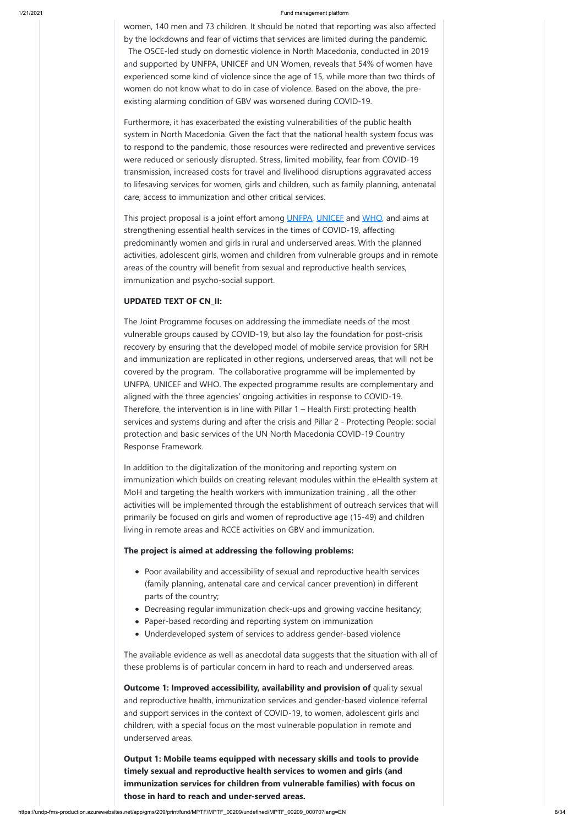women, 140 men and 73 children. It should be noted that reporting was also affected by the lockdowns and fear of victims that services are limited during the pandemic. The OSCE-led study on domestic violence in North Macedonia, conducted in 2019 and supported by UNFPA, UNICEF and UN Women, reveals that 54% of women have experienced some kind of violence since the age of 15, while more than two thirds of women do not know what to do in case of violence. Based on the above, the preexisting alarming condition of GBV was worsened during COVID-19.

This project proposal is a joint effort among **[UNFPA,](https://mk.unfpa.org/en) UNICEF** and [WHO,](https://www.euro.who.int/en/countries/north-macedonia) and aims at strengthening essential health services in the times of COVID-19, affecting predominantly women and girls in rural and underserved areas. With the planned activities, adolescent girls, women and children from vulnerable groups and in remote areas of the country will benefit from sexual and reproductive health services, immunization and psycho-social support.

Furthermore, it has exacerbated the existing vulnerabilities of the public health system in North Macedonia. Given the fact that the national health system focus was to respond to the pandemic, those resources were redirected and preventive services were reduced or seriously disrupted. Stress, limited mobility, fear from COVID-19 transmission, increased costs for travel and livelihood disruptions aggravated access to lifesaving services for women, girls and children, such as family planning, antenatal care, access to immunization and other critical services.

## **UPDATED TEXT OF CN\_II:**

- Poor availability and accessibility of sexual and reproductive health services (family planning, antenatal care and cervical cancer prevention) in different parts of the country;
- Decreasing regular immunization check-ups and growing vaccine hesitancy;
- Paper-based recording and reporting system on immunization
	-
- Underdeveloped system of services to address gender-based violence

**Outcome 1: Improved accessibility, availability and provision of quality sexual** and reproductive health, immunization services and gender-based violence referral and support services in the context of COVID-19, to women, adolescent girls and children, with a special focus on the most vulnerable population in remote and underserved areas.

The Joint Programme focuses on addressing the immediate needs of the most vulnerable groups caused by COVID-19, but also lay the foundation for post-crisis recovery by ensuring that the developed model of mobile service provision for SRH and immunization are replicated in other regions, underserved areas, that will not be covered by the program. The collaborative programme will be implemented by UNFPA, UNICEF and WHO. The expected programme results are complementary and aligned with the three agencies' ongoing activities in response to COVID-19. Therefore, the intervention is in line with Pillar 1 – Health First: protecting health services and systems during and after the crisis and Pillar 2 - Protecting People: social protection and basic services of the UN North Macedonia COVID-19 Country Response Framework.

In addition to the digitalization of the monitoring and reporting system on immunization which builds on creating relevant modules within the eHealth system at MoH and targeting the health workers with immunization training , all the other activities will be implemented through the establishment of outreach services that will primarily be focused on girls and women of reproductive age (15-49) and children living in remote areas and RCCE activities on GBV and immunization. 

## **The project is aimed at addressing the following problems:**

The available evidence as well as anecdotal data suggests that the situation with all of these problems is of particular concern in hard to reach and underserved areas.

**Output 1: Mobile teams equipped with necessary skills and tools to provide timely sexual and reproductive health services to women and girls (and immunization services for children from vulnerable families) with focus on those in hard to reach and under-served areas.**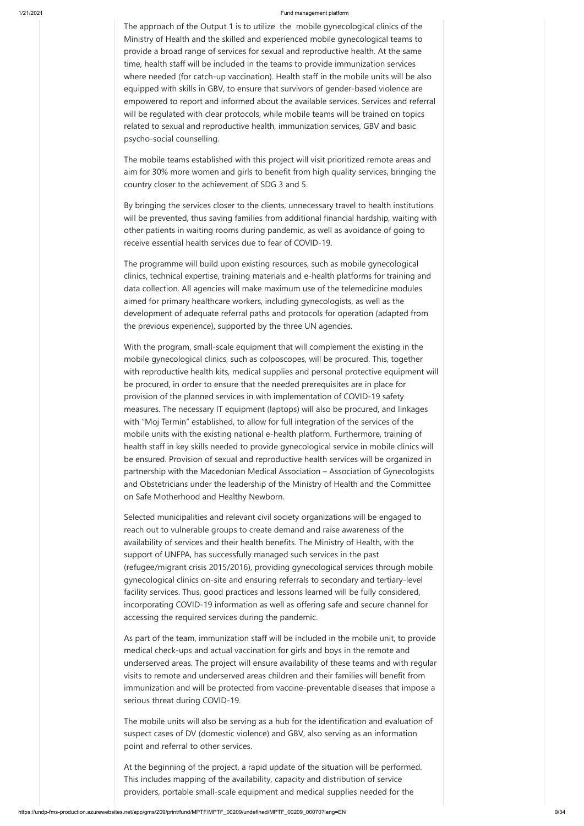The approach of the Output 1 is to utilize the mobile gynecological clinics of the Ministry of Health and the skilled and experienced mobile gynecological teams to provide a broad range of services for sexual and reproductive health. At the same time, health staff will be included in the teams to provide immunization services where needed (for catch-up vaccination). Health staff in the mobile units will be also equipped with skills in GBV, to ensure that survivors of gender-based violence are empowered to report and informed about the available services. Services and referral will be regulated with clear protocols, while mobile teams will be trained on topics related to sexual and reproductive health, immunization services, GBV and basic psycho-social counselling.

The mobile teams established with this project will visit prioritized remote areas and aim for 30% more women and girls to benefit from high quality services, bringing the country closer to the achievement of SDG 3 and 5.

By bringing the services closer to the clients, unnecessary travel to health institutions will be prevented, thus saving families from additional financial hardship, waiting with other patients in waiting rooms during pandemic, as well as avoidance of going to receive essential health services due to fear of COVID-19.

The programme will build upon existing resources, such as mobile gynecological clinics, technical expertise, training materials and e-health platforms for training and data collection. All agencies will make maximum use of the telemedicine modules aimed for primary healthcare workers, including gynecologists, as well as the development of adequate referral paths and protocols for operation (adapted from the previous experience), supported by the three UN agencies.

With the program, small-scale equipment that will complement the existing in the mobile gynecological clinics, such as colposcopes, will be procured. This, together with reproductive health kits, medical supplies and personal protective equipment will be procured, in order to ensure that the needed prerequisites are in place for provision of the planned services in with implementation of COVID-19 safety measures. The necessary IT equipment (laptops) will also be procured, and linkages with "Moj Termin" established, to allow for full integration of the services of the mobile units with the existing national e-health platform. Furthermore, training of health staff in key skills needed to provide gynecological service in mobile clinics will be ensured. Provision of sexual and reproductive health services will be organized in partnership with the Macedonian Medical Association – Association of Gynecologists and Obstetricians under the leadership of the Ministry of Health and the Committee on Safe Motherhood and Healthy Newborn.

Selected municipalities and relevant civil society organizations will be engaged to reach out to vulnerable groups to create demand and raise awareness of the availability of services and their health benefits. The Ministry of Health, with the support of UNFPA, has successfully managed such services in the past (refugee/migrant crisis 2015/2016), providing gynecological services through mobile gynecological clinics on-site and ensuring referrals to secondary and tertiary-level facility services. Thus, good practices and lessons learned will be fully considered, incorporating COVID-19 information as well as offering safe and secure channel for accessing the required services during the pandemic.

As part of the team, immunization staff will be included in the mobile unit, to provide medical check-ups and actual vaccination for girls and boys in the remote and underserved areas. The project will ensure availability of these teams and with regular visits to remote and underserved areas children and their families will benefit from immunization and will be protected from vaccine-preventable diseases that impose a serious threat during COVID-19.

The mobile units will also be serving as a hub for the identification and evaluation of suspect cases of DV (domestic violence) and GBV, also serving as an information point and referral to other services.

At the beginning of the project, a rapid update of the situation will be performed. This includes mapping of the availability, capacity and distribution of service providers, portable small-scale equipment and medical supplies needed for the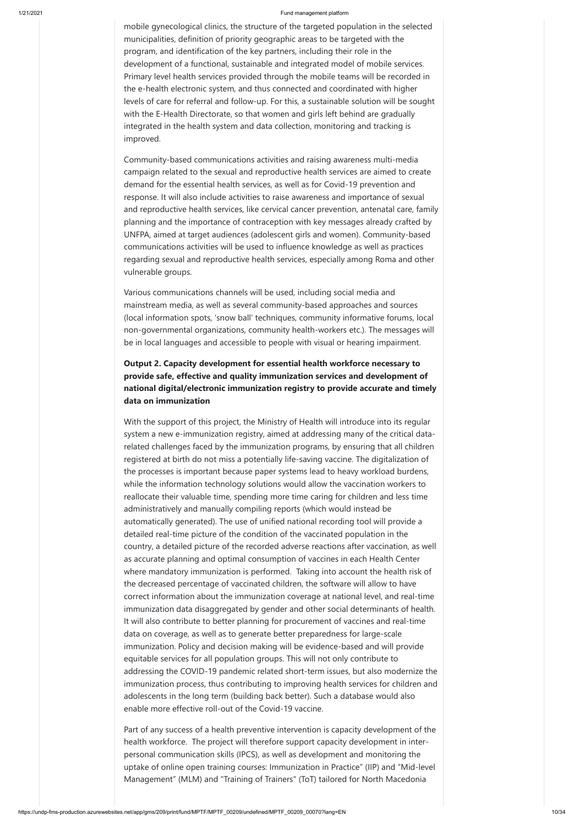mobile gynecological clinics, the structure of the targeted population in the selected municipalities, definition of priority geographic areas to be targeted with the program, and identification of the key partners, including their role in the development of a functional, sustainable and integrated model of mobile services. Primary level health services provided through the mobile teams will be recorded in the e-health electronic system, and thus connected and coordinated with higher levels of care for referral and follow-up. For this, a sustainable solution will be sought with the E-Health Directorate, so that women and girls left behind are gradually integrated in the health system and data collection, monitoring and tracking is improved.

Community-based communications activities and raising awareness multi-media campaign related to the sexual and reproductive health services are aimed to create demand for the essential health services, as well as for Covid-19 prevention and response. It will also include activities to raise awareness and importance of sexual and reproductive health services, like cervical cancer prevention, antenatal care, family planning and the importance of contraception with key messages already crafted by UNFPA, aimed at target audiences (adolescent girls and women). Community-based communications activities will be used to influence knowledge as well as practices regarding sexual and reproductive health services, especially among Roma and other vulnerable groups.

Various communications channels will be used, including social media and mainstream media, as well as several community-based approaches and sources (local information spots, 'snow ball' techniques, community informative forums, local non-governmental organizations, community health-workers etc.). The messages will be in local languages and accessible to people with visual or hearing impairment.

## **Output 2. Capacity development for essential health workforce necessary to provide safe, effective and quality immunization services and development of national digital/electronic immunization registry to provide accurate and timely data on immunization**

With the support of this project, the Ministry of Health will introduce into its regular system a new e-immunization registry, aimed at addressing many of the critical datarelated challenges faced by the immunization programs, by ensuring that all children registered at birth do not miss a potentially life-saving vaccine. The digitalization of the processes is important because paper systems lead to heavy workload burdens, while the information technology solutions would allow the vaccination workers to reallocate their valuable time, spending more time caring for children and less time administratively and manually compiling reports (which would instead be automatically generated). The use of unified national recording tool will provide a detailed real-time picture of the condition of the vaccinated population in the country, a detailed picture of the recorded adverse reactions after vaccination, as well as accurate planning and optimal consumption of vaccines in each Health Center where mandatory immunization is performed. Taking into account the health risk of the decreased percentage of vaccinated children, the software will allow to have correct information about the immunization coverage at national level, and real-time immunization data disaggregated by gender and other social determinants of health. It will also contribute to better planning for procurement of vaccines and real-time data on coverage, as well as to generate better preparedness for large-scale immunization. Policy and decision making will be evidence-based and will provide equitable services for all population groups. This will not only contribute to addressing the COVID-19 pandemic related short-term issues, but also modernize the immunization process, thus contributing to improving health services for children and adolescents in the long term (building back better). Such a database would also enable more effective roll-out of the Covid-19 vaccine.

Part of any success of a health preventive intervention is capacity development of the health workforce. The project will therefore support capacity development in interpersonal communication skills (IPCS), as well as development and monitoring the uptake of online open training courses: Immunization in Practice" (IIP) and "Mid-level Management" (MLM) and "Training of Trainers" (ToT) tailored for North Macedonia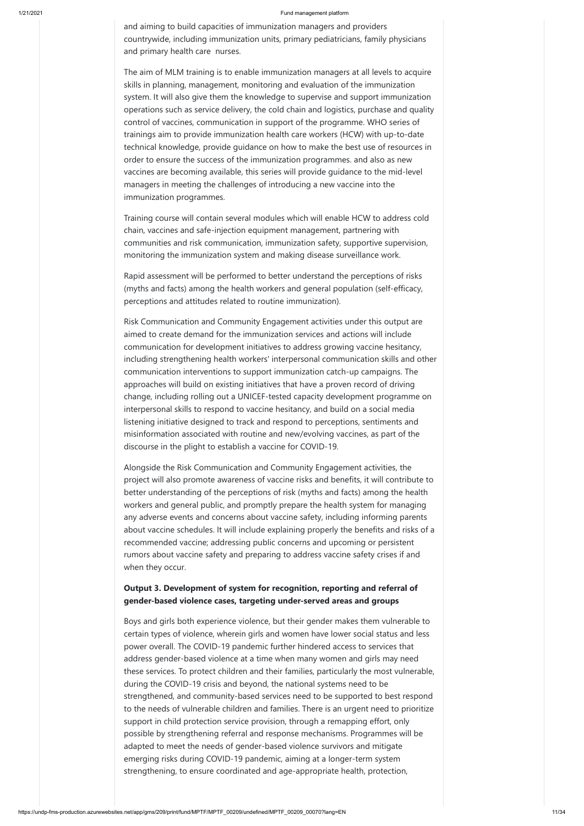and aiming to build capacities of immunization managers and providers countrywide, including immunization units, primary pediatricians, family physicians and primary health care nurses.

The aim of MLM training is to enable immunization managers at all levels to acquire skills in planning, management, monitoring and evaluation of the immunization system. It will also give them the knowledge to supervise and support immunization operations such as service delivery, the cold chain and logistics, purchase and quality control of vaccines, communication in support of the programme. WHO series of trainings aim to provide immunization health care workers (HCW) with up-to-date technical knowledge, provide guidance on how to make the best use of resources in order to ensure the success of the immunization programmes. and also as new vaccines are becoming available, this series will provide guidance to the mid-level managers in meeting the challenges of introducing a new vaccine into the immunization programmes.

Training course will contain several modules which will enable HCW to address cold chain, vaccines and safe-injection equipment management, partnering with communities and risk communication, immunization safety, supportive supervision, monitoring the immunization system and making disease surveillance work.

Rapid assessment will be performed to better understand the perceptions of risks (myths and facts) among the health workers and general population (self-efficacy, perceptions and attitudes related to routine immunization).

Risk Communication and Community Engagement activities under this output are aimed to create demand for the immunization services and actions will include communication for development initiatives to address growing vaccine hesitancy, including strengthening health workers' interpersonal communication skills and other communication interventions to support immunization catch-up campaigns. The approaches will build on existing initiatives that have a proven record of driving change, including rolling out a UNICEF-tested capacity development programme on interpersonal skills to respond to vaccine hesitancy, and build on a social media listening initiative designed to track and respond to perceptions, sentiments and misinformation associated with routine and new/evolving vaccines, as part of the discourse in the plight to establish a vaccine for COVID-19.

Alongside the Risk Communication and Community Engagement activities, the project will also promote awareness of vaccine risks and benefits, it will contribute to better understanding of the perceptions of risk (myths and facts) among the health workers and general public, and promptly prepare the health system for managing any adverse events and concerns about vaccine safety, including informing parents about vaccine schedules. It will include explaining properly the benefits and risks of a recommended vaccine; addressing public concerns and upcoming or persistent rumors about vaccine safety and preparing to address vaccine safety crises if and when they occur.

## **Output 3. Development of system for recognition, reporting and referral of gender-based violence cases, targeting under-served areas and groups**

Boys and girls both experience violence, but their gender makes them vulnerable to

certain types of violence, wherein girls and women have lower social status and less power overall. The COVID-19 pandemic further hindered access to services that address gender-based violence at a time when many women and girls may need these services. To protect children and their families, particularly the most vulnerable, during the COVID-19 crisis and beyond, the national systems need to be strengthened, and community-based services need to be supported to best respond to the needs of vulnerable children and families. There is an urgent need to prioritize support in child protection service provision, through a remapping effort, only possible by strengthening referral and response mechanisms. Programmes will be adapted to meet the needs of gender-based violence survivors and mitigate emerging risks during COVID-19 pandemic, aiming at a longer-term system strengthening, to ensure coordinated and age-appropriate health, protection,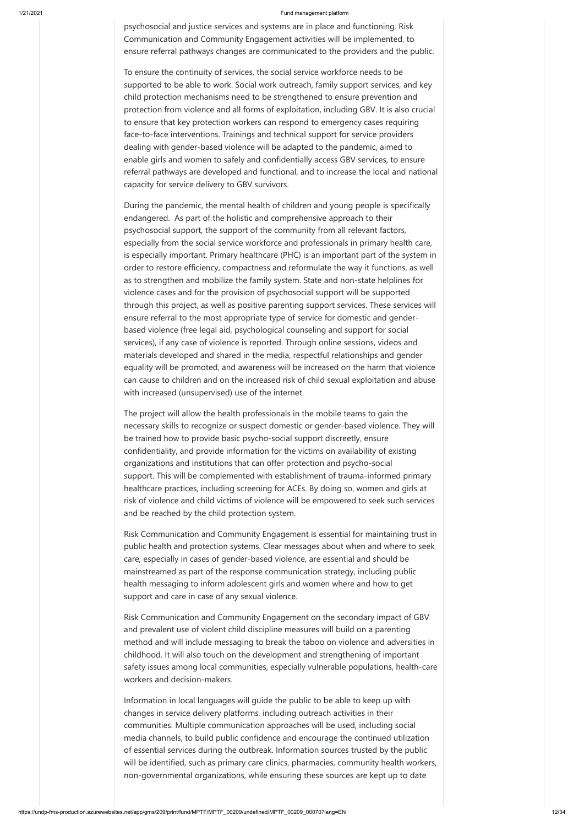psychosocial and justice services and systems are in place and functioning. Risk Communication and Community Engagement activities will be implemented, to ensure referral pathways changes are communicated to the providers and the public.

To ensure the continuity of services, the social service workforce needs to be supported to be able to work. Social work outreach, family support services, and key child protection mechanisms need to be strengthened to ensure prevention and protection from violence and all forms of exploitation, including GBV. It is also crucial to ensure that key protection workers can respond to emergency cases requiring face-to-face interventions. Trainings and technical support for service providers dealing with gender-based violence will be adapted to the pandemic, aimed to enable girls and women to safely and confidentially access GBV services, to ensure referral pathways are developed and functional, and to increase the local and national capacity for service delivery to GBV survivors.

During the pandemic, the mental health of children and young people is specifically endangered. As part of the holistic and comprehensive approach to their psychosocial support, the support of the community from all relevant factors, especially from the social service workforce and professionals in primary health care, is especially important. Primary healthcare (PHC) is an important part of the system in order to restore efficiency, compactness and reformulate the way it functions, as well as to strengthen and mobilize the family system. State and non-state helplines for violence cases and for the provision of psychosocial support will be supported through this project, as well as positive parenting support services. These services will ensure referral to the most appropriate type of service for domestic and genderbased violence (free legal aid, psychological counseling and support for social services), if any case of violence is reported. Through online sessions, videos and materials developed and shared in the media, respectful relationships and gender equality will be promoted, and awareness will be increased on the harm that violence can cause to children and on the increased risk of child sexual exploitation and abuse with increased (unsupervised) use of the internet.

The project will allow the health professionals in the mobile teams to gain the necessary skills to recognize or suspect domestic or gender-based violence. They will be trained how to provide basic psycho-social support discreetly, ensure confidentiality, and provide information for the victims on availability of existing organizations and institutions that can offer protection and psycho-social support. This will be complemented with establishment of trauma-informed primary healthcare practices, including screening for ACEs. By doing so, women and girls at risk of violence and child victims of violence will be empowered to seek such services and be reached by the child protection system.

Risk Communication and Community Engagement is essential for maintaining trust in public health and protection systems. Clear messages about when and where to seek care, especially in cases of gender-based violence, are essential and should be mainstreamed as part of the response communication strategy, including public health messaging to inform adolescent girls and women where and how to get support and care in case of any sexual violence.

Risk Communication and Community Engagement on the secondary impact of GBV

and prevalent use of violent child discipline measures will build on a parenting method and will include messaging to break the taboo on violence and adversities in childhood. It will also touch on the development and strengthening of important safety issues among local communities, especially vulnerable populations, health-care workers and decision-makers.

Information in local languages will guide the public to be able to keep up with changes in service delivery platforms, including outreach activities in their communities. Multiple communication approaches will be used, including social media channels, to build public confidence and encourage the continued utilization of essential services during the outbreak. Information sources trusted by the public will be identified, such as primary care clinics, pharmacies, community health workers, non-governmental organizations, while ensuring these sources are kept up to date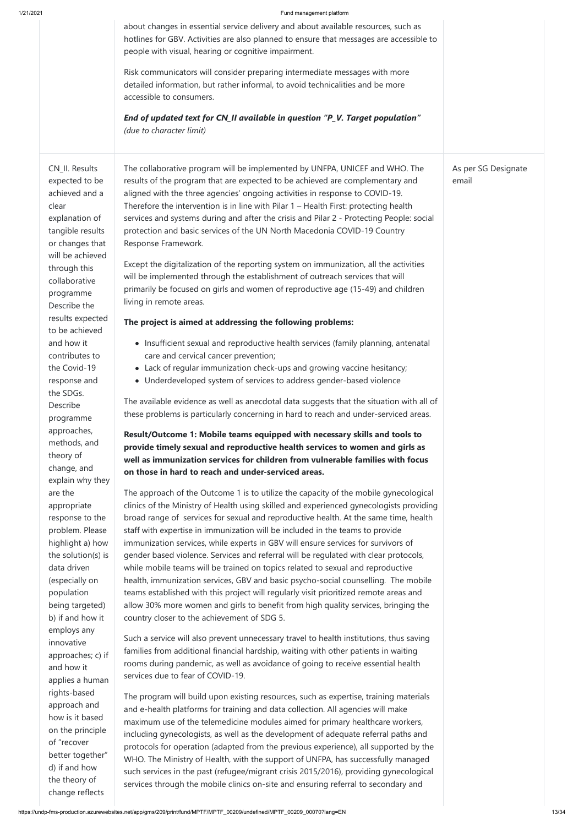employs any innovative approaches; c) if and how it applies a human rights-based approach and how is it based on the principle of "recover better together" d) if and how the theory of change reflects

|                                                                                                                      | about changes in essential service delivery and about available resources, such as<br>hotlines for GBV. Activities are also planned to ensure that messages are accessible to<br>people with visual, hearing or cognitive impairment.                                                                                                                                                                                                                                                                                               |                              |
|----------------------------------------------------------------------------------------------------------------------|-------------------------------------------------------------------------------------------------------------------------------------------------------------------------------------------------------------------------------------------------------------------------------------------------------------------------------------------------------------------------------------------------------------------------------------------------------------------------------------------------------------------------------------|------------------------------|
|                                                                                                                      | Risk communicators will consider preparing intermediate messages with more<br>detailed information, but rather informal, to avoid technicalities and be more<br>accessible to consumers.                                                                                                                                                                                                                                                                                                                                            |                              |
|                                                                                                                      | End of updated text for CN_II available in question "P_V. Target population"<br>(due to character limit)                                                                                                                                                                                                                                                                                                                                                                                                                            |                              |
| CN_II. Results<br>expected to be<br>achieved and a<br>clear<br>explanation of<br>tangible results<br>or changes that | The collaborative program will be implemented by UNFPA, UNICEF and WHO. The<br>results of the program that are expected to be achieved are complementary and<br>aligned with the three agencies' ongoing activities in response to COVID-19.<br>Therefore the intervention is in line with Pilar 1 - Health First: protecting health<br>services and systems during and after the crisis and Pilar 2 - Protecting People: social<br>protection and basic services of the UN North Macedonia COVID-19 Country<br>Response Framework. | As per SG Designate<br>email |
| will be achieved<br>through this<br>collaborative<br>programme<br>Describe the                                       | Except the digitalization of the reporting system on immunization, all the activities<br>will be implemented through the establishment of outreach services that will<br>primarily be focused on girls and women of reproductive age (15-49) and children<br>living in remote areas.                                                                                                                                                                                                                                                |                              |
| results expected<br>to be achieved                                                                                   | The project is aimed at addressing the following problems:                                                                                                                                                                                                                                                                                                                                                                                                                                                                          |                              |
| and how it                                                                                                           | • Insufficient sexual and reproductive health services (family planning, antenatal                                                                                                                                                                                                                                                                                                                                                                                                                                                  |                              |
| contributes to                                                                                                       | care and cervical cancer prevention;                                                                                                                                                                                                                                                                                                                                                                                                                                                                                                |                              |
| the Covid-19                                                                                                         | • Lack of regular immunization check-ups and growing vaccine hesitancy;                                                                                                                                                                                                                                                                                                                                                                                                                                                             |                              |
| response and                                                                                                         | • Underdeveloped system of services to address gender-based violence                                                                                                                                                                                                                                                                                                                                                                                                                                                                |                              |
| the SDGs.                                                                                                            |                                                                                                                                                                                                                                                                                                                                                                                                                                                                                                                                     |                              |
| Describe                                                                                                             | The available evidence as well as anecdotal data suggests that the situation with all of                                                                                                                                                                                                                                                                                                                                                                                                                                            |                              |
| programme                                                                                                            | these problems is particularly concerning in hard to reach and under-serviced areas.                                                                                                                                                                                                                                                                                                                                                                                                                                                |                              |
| approaches,                                                                                                          | Result/Outcome 1: Mobile teams equipped with necessary skills and tools to                                                                                                                                                                                                                                                                                                                                                                                                                                                          |                              |
| methods, and                                                                                                         | provide timely sexual and reproductive health services to women and girls as                                                                                                                                                                                                                                                                                                                                                                                                                                                        |                              |
| theory of                                                                                                            | well as immunization services for children from vulnerable families with focus                                                                                                                                                                                                                                                                                                                                                                                                                                                      |                              |
| change, and                                                                                                          | on those in hard to reach and under-serviced areas.                                                                                                                                                                                                                                                                                                                                                                                                                                                                                 |                              |
| explain why they                                                                                                     |                                                                                                                                                                                                                                                                                                                                                                                                                                                                                                                                     |                              |
| are the                                                                                                              | The approach of the Outcome 1 is to utilize the capacity of the mobile gynecological                                                                                                                                                                                                                                                                                                                                                                                                                                                |                              |
| appropriate                                                                                                          | clinics of the Ministry of Health using skilled and experienced gynecologists providing                                                                                                                                                                                                                                                                                                                                                                                                                                             |                              |
| response to the                                                                                                      | broad range of services for sexual and reproductive health. At the same time, health                                                                                                                                                                                                                                                                                                                                                                                                                                                |                              |
| problem. Please                                                                                                      | staff with expertise in immunization will be included in the teams to provide                                                                                                                                                                                                                                                                                                                                                                                                                                                       |                              |
| highlight a) how                                                                                                     | immunization services, while experts in GBV will ensure services for survivors of                                                                                                                                                                                                                                                                                                                                                                                                                                                   |                              |
| the solution(s) is                                                                                                   | gender based violence. Services and referral will be regulated with clear protocols,                                                                                                                                                                                                                                                                                                                                                                                                                                                |                              |
| data driven                                                                                                          | while mobile teams will be trained on topics related to sexual and reproductive                                                                                                                                                                                                                                                                                                                                                                                                                                                     |                              |
| (especially on                                                                                                       | health, immunization services, GBV and basic psycho-social counselling. The mobile                                                                                                                                                                                                                                                                                                                                                                                                                                                  |                              |
| population                                                                                                           | teams established with this project will regularly visit prioritized remote areas and                                                                                                                                                                                                                                                                                                                                                                                                                                               |                              |
| being targeted)                                                                                                      | allow 30% more women and girls to benefit from high quality services, bringing the                                                                                                                                                                                                                                                                                                                                                                                                                                                  |                              |
| b) if and how it                                                                                                     | country closer to the achievement of SDG 5.                                                                                                                                                                                                                                                                                                                                                                                                                                                                                         |                              |

Such a service will also prevent unnecessary travel to health institutions, thus saving families from additional financial hardship, waiting with other patients in waiting rooms during pandemic, as well as avoidance of going to receive essential health services due to fear of COVID-19.

The program will build upon existing resources, such as expertise, training materials and e-health platforms for training and data collection. All agencies will make maximum use of the telemedicine modules aimed for primary healthcare workers, including gynecologists, as well as the development of adequate referral paths and protocols for operation (adapted from the previous experience), all supported by the WHO. The Ministry of Health, with the support of UNFPA, has successfully managed such services in the past (refugee/migrant crisis 2015/2016), providing gynecological services through the mobile clinics on-site and ensuring referral to secondary and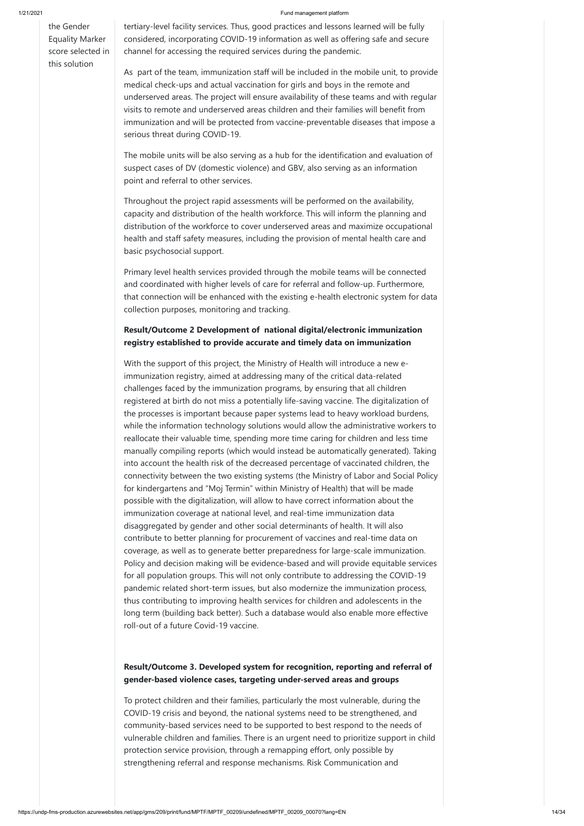the Gender Equality Marker score selected in this solution

tertiary-level facility services. Thus, good practices and lessons learned will be fully considered, incorporating COVID-19 information as well as offering safe and secure channel for accessing the required services during the pandemic.

As part of the team, immunization staff will be included in the mobile unit, to provide medical check-ups and actual vaccination for girls and boys in the remote and underserved areas. The project will ensure availability of these teams and with regular visits to remote and underserved areas children and their families will benefit from immunization and will be protected from vaccine-preventable diseases that impose a serious threat during COVID-19.

The mobile units will be also serving as a hub for the identification and evaluation of suspect cases of DV (domestic violence) and GBV, also serving as an information point and referral to other services.

Throughout the project rapid assessments will be performed on the availability, capacity and distribution of the health workforce. This will inform the planning and distribution of the workforce to cover underserved areas and maximize occupational health and staff safety measures, including the provision of mental health care and basic psychosocial support.

Primary level health services provided through the mobile teams will be connected and coordinated with higher levels of care for referral and follow-up. Furthermore, that connection will be enhanced with the existing e-health electronic system for data collection purposes, monitoring and tracking.

## **Result/Outcome 2 Development of national digital/electronic immunization registry established to provide accurate and timely data on immunization**

With the support of this project, the Ministry of Health will introduce a new eimmunization registry, aimed at addressing many of the critical data-related challenges faced by the immunization programs, by ensuring that all children registered at birth do not miss a potentially life-saving vaccine. The digitalization of the processes is important because paper systems lead to heavy workload burdens, while the information technology solutions would allow the administrative workers to reallocate their valuable time, spending more time caring for children and less time manually compiling reports (which would instead be automatically generated). Taking into account the health risk of the decreased percentage of vaccinated children, the connectivity between the two existing systems (the Ministry of Labor and Social Policy for kindergartens and "Moj Termin" within Ministry of Health) that will be made possible with the digitalization, will allow to have correct information about the immunization coverage at national level, and real-time immunization data disaggregated by gender and other social determinants of health. It will also contribute to better planning for procurement of vaccines and real-time data on coverage, as well as to generate better preparedness for large-scale immunization. Policy and decision making will be evidence-based and will provide equitable services for all population groups. This will not only contribute to addressing the COVID-19 pandemic related short-term issues, but also modernize the immunization process, thus contributing to improving health services for children and adolescents in the long term (building back better). Such a database would also enable more effective

roll-out of a future Covid-19 vaccine.

**Result/Outcome 3. Developed system for recognition, reporting and referral of gender-based violence cases, targeting under-served areas and groups**

To protect children and their families, particularly the most vulnerable, during the COVID-19 crisis and beyond, the national systems need to be strengthened, and community-based services need to be supported to best respond to the needs of vulnerable children and families. There is an urgent need to prioritize support in child protection service provision, through a remapping effort, only possible by strengthening referral and response mechanisms. Risk Communication and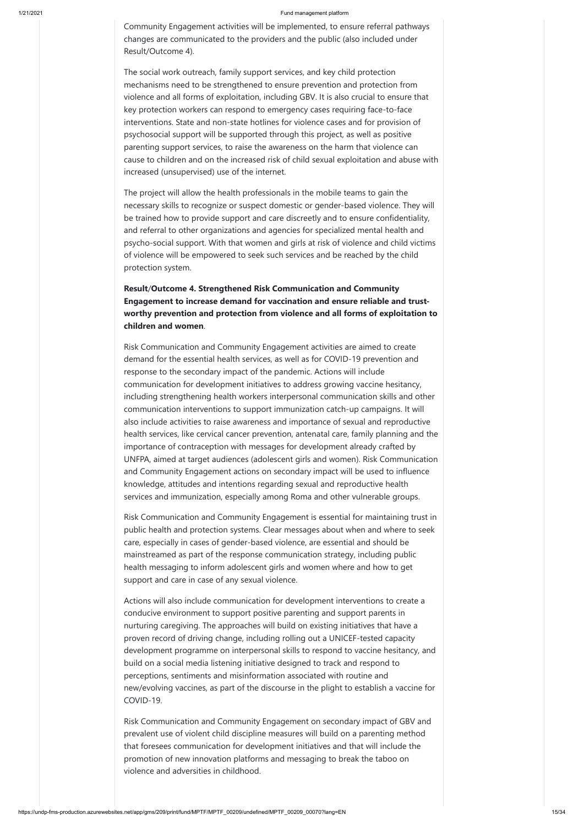Community Engagement activities will be implemented, to ensure referral pathways changes are communicated to the providers and the public (also included under Result/Outcome 4).

The social work outreach, family support services, and key child protection mechanisms need to be strengthened to ensure prevention and protection from violence and all forms of exploitation, including GBV. It is also crucial to ensure that key protection workers can respond to emergency cases requiring face-to-face interventions. State and non-state hotlines for violence cases and for provision of psychosocial support will be supported through this project, as well as positive parenting support services, to raise the awareness on the harm that violence can cause to children and on the increased risk of child sexual exploitation and abuse with increased (unsupervised) use of the internet.

The project will allow the health professionals in the mobile teams to gain the necessary skills to recognize or suspect domestic or gender-based violence. They will be trained how to provide support and care discreetly and to ensure confidentiality, and referral to other organizations and agencies for specialized mental health and psycho-social support. With that women and girls at risk of violence and child victims of violence will be empowered to seek such services and be reached by the child protection system.

**Result**/**Outcome 4. Strengthened Risk Communication and Community Engagement to increase demand for vaccination and ensure reliable and trustworthy prevention and protection from violence and all forms of exploitation to children and women**.

Risk Communication and Community Engagement activities are aimed to create demand for the essential health services, as well as for COVID-19 prevention and response to the secondary impact of the pandemic. Actions will include communication for development initiatives to address growing vaccine hesitancy, including strengthening health workers interpersonal communication skills and other communication interventions to support immunization catch-up campaigns. It will also include activities to raise awareness and importance of sexual and reproductive health services, like cervical cancer prevention, antenatal care, family planning and the importance of contraception with messages for development already crafted by UNFPA, aimed at target audiences (adolescent girls and women). Risk Communication and Community Engagement actions on secondary impact will be used to influence knowledge, attitudes and intentions regarding sexual and reproductive health services and immunization, especially among Roma and other vulnerable groups.

Risk Communication and Community Engagement is essential for maintaining trust in public health and protection systems. Clear messages about when and where to seek care, especially in cases of gender-based violence, are essential and should be mainstreamed as part of the response communication strategy, including public health messaging to inform adolescent girls and women where and how to get support and care in case of any sexual violence.

Actions will also include communication for development interventions to create a conducive environment to support positive parenting and support parents in nurturing caregiving. The approaches will build on existing initiatives that have a proven record of driving change, including rolling out a UNICEF-tested capacity development programme on interpersonal skills to respond to vaccine hesitancy, and build on a social media listening initiative designed to track and respond to perceptions, sentiments and misinformation associated with routine and new/evolving vaccines, as part of the discourse in the plight to establish a vaccine for COVID-19.

Risk Communication and Community Engagement on secondary impact of GBV and prevalent use of violent child discipline measures will build on a parenting method that foresees communication for development initiatives and that will include the promotion of new innovation platforms and messaging to break the taboo on violence and adversities in childhood.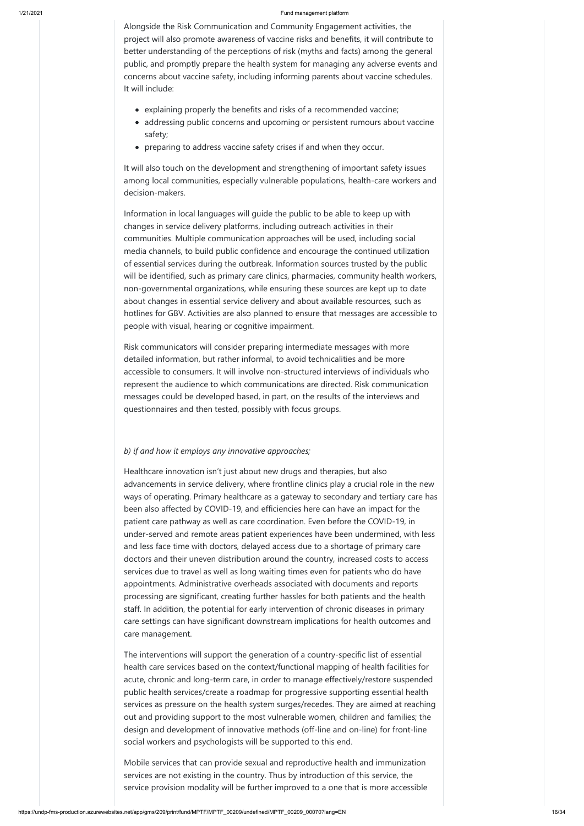Alongside the Risk Communication and Community Engagement activities, the project will also promote awareness of vaccine risks and benefits, it will contribute to better understanding of the perceptions of risk (myths and facts) among the general public, and promptly prepare the health system for managing any adverse events and concerns about vaccine safety, including informing parents about vaccine schedules. It will include:

- explaining properly the benefits and risks of a recommended vaccine;
- addressing public concerns and upcoming or persistent rumours about vaccine safety;
- preparing to address vaccine safety crises if and when they occur.

It will also touch on the development and strengthening of important safety issues among local communities, especially vulnerable populations, health-care workers and decision-makers.

Information in local languages will guide the public to be able to keep up with changes in service delivery platforms, including outreach activities in their communities. Multiple communication approaches will be used, including social media channels, to build public confidence and encourage the continued utilization of essential services during the outbreak. Information sources trusted by the public will be identified, such as primary care clinics, pharmacies, community health workers, non-governmental organizations, while ensuring these sources are kept up to date about changes in essential service delivery and about available resources, such as hotlines for GBV. Activities are also planned to ensure that messages are accessible to people with visual, hearing or cognitive impairment.

Risk communicators will consider preparing intermediate messages with more detailed information, but rather informal, to avoid technicalities and be more accessible to consumers. It will involve non-structured interviews of individuals who represent the audience to which communications are directed. Risk communication messages could be developed based, in part, on the results of the interviews and questionnaires and then tested, possibly with focus groups.

### *b) if and how it employs any innovative approaches;*

Healthcare innovation isn't just about new drugs and therapies, but also advancements in service delivery, where frontline clinics play a crucial role in the new ways of operating. Primary healthcare as a gateway to secondary and tertiary care has been also affected by COVID-19, and efficiencies here can have an impact for the patient care pathway as well as care coordination. Even before the COVID-19, in under-served and remote areas patient experiences have been undermined, with less and less face time with doctors, delayed access due to a shortage of primary care doctors and their uneven distribution around the country, increased costs to access services due to travel as well as long waiting times even for patients who do have appointments. Administrative overheads associated with documents and reports processing are significant, creating further hassles for both patients and the health staff. In addition, the potential for early intervention of chronic diseases in primary care settings can have significant downstream implications for health outcomes and

care management.

The interventions will support the generation of a country-specific list of essential health care services based on the context/functional mapping of health facilities for acute, chronic and long-term care, in order to manage effectively/restore suspended public health services/create a roadmap for progressive supporting essential health services as pressure on the health system surges/recedes. They are aimed at reaching out and providing support to the most vulnerable women, children and families; the design and development of innovative methods (off-line and on-line) for front-line social workers and psychologists will be supported to this end.

Mobile services that can provide sexual and reproductive health and immunization services are not existing in the country. Thus by introduction of this service, the service provision modality will be further improved to a one that is more accessible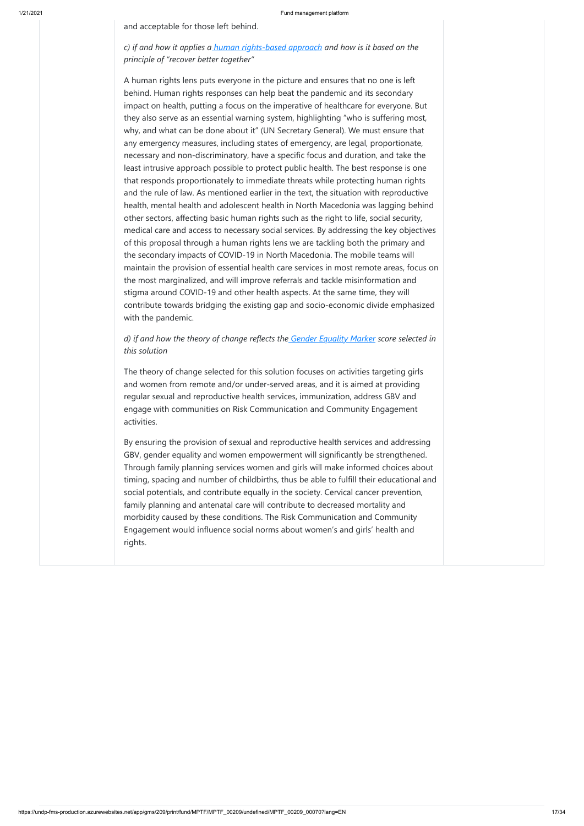and acceptable for those left behind.

*c) if and how it applies a [human rights-based approach](https://unitednations.sharepoint.com/sites/DCO-WG-UNSDG_CF/Shared%20Documents/COVID-Guide/HRBA-LNOB-Checklist-for-SE-Responses-COVID-19.pdf?web=1) and how is it based on the principle of "recover better together"*

A human rights lens puts everyone in the picture and ensures that no one is left behind. Human rights responses can help beat the pandemic and its secondary impact on health, putting a focus on the imperative of healthcare for everyone. But they also serve as an essential warning system, highlighting "who is suffering most, why, and what can be done about it" (UN Secretary General). We must ensure that any emergency measures, including states of emergency, are legal, proportionate, necessary and non-discriminatory, have a specific focus and duration, and take the least intrusive approach possible to protect public health. The best response is one that responds proportionately to immediate threats while protecting human rights and the rule of law. As mentioned earlier in the text, the situation with reproductive health, mental health and adolescent health in North Macedonia was lagging behind other sectors, affecting basic human rights such as the right to life, social security, medical care and access to necessary social services. By addressing the key objectives of this proposal through a human rights lens we are tackling both the primary and the secondary impacts of COVID-19 in North Macedonia. The mobile teams will maintain the provision of essential health care services in most remote areas, focus on the most marginalized, and will improve referrals and tackle misinformation and stigma around COVID-19 and other health aspects. At the same time, they will contribute towards bridging the existing gap and socio-economic divide emphasized with the pandemic.

## *d) if and how the theory of change reflects the [Gender Equality Marker](https://unsdg.un.org/resources/unct-gender-equality-marker-guidance-note) score selected in this solution*

The theory of change selected for this solution focuses on activities targeting girls and women from remote and/or under-served areas, and it is aimed at providing regular sexual and reproductive health services, immunization, address GBV and engage with communities on Risk Communication and Community Engagement activities.

By ensuring the provision of sexual and reproductive health services and addressing GBV, gender equality and women empowerment will significantly be strengthened. Through family planning services women and girls will make informed choices about timing, spacing and number of childbirths, thus be able to fulfill their educational and social potentials, and contribute equally in the society. Cervical cancer prevention, family planning and antenatal care will contribute to decreased mortality and morbidity caused by these conditions. The Risk Communication and Community Engagement would influence social norms about women's and girls' health and rights.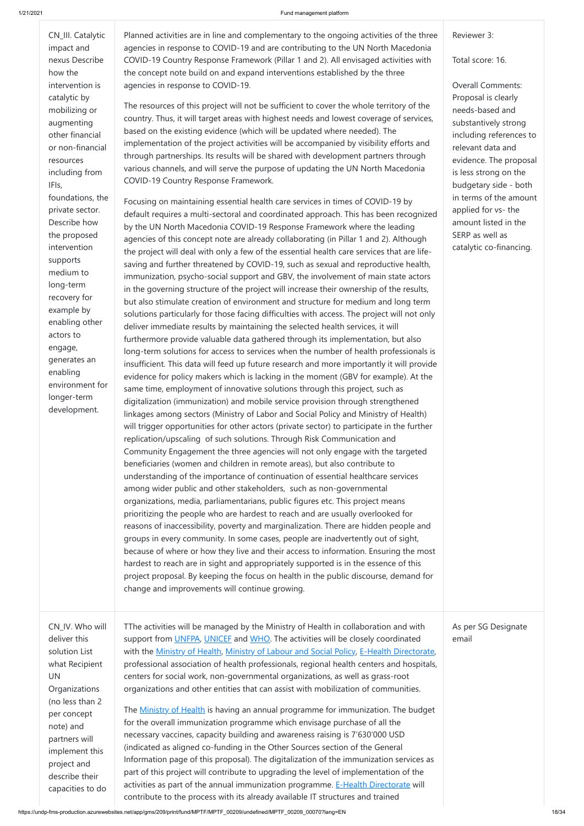CN\_III. Catalytic impact and nexus Describe how the intervention is catalytic by mobilizing or augmenting other financial or non-financial resources including from IFIs, foundations, the private sector. Describe how the proposed intervention supports medium to long-term recovery for example by enabling other actors to engage, generates an enabling environment for longer-term development.

Planned activities are in line and complementary to the ongoing activities of the three agencies in response to COVID-19 and are contributing to the UN North Macedonia COVID-19 Country Response Framework (Pillar 1 and 2). All envisaged activities with the concept note build on and expand interventions established by the three agencies in response to COVID-19.

The resources of this project will not be sufficient to cover the whole territory of the country. Thus, it will target areas with highest needs and lowest coverage of services, based on the existing evidence (which will be updated where needed). The implementation of the project activities will be accompanied by visibility efforts and through partnerships. Its results will be shared with development partners through various channels, and will serve the purpose of updating the UN North Macedonia COVID-19 Country Response Framework.

Focusing on maintaining essential health care services in times of COVID-19 by default requires a multi-sectoral and coordinated approach. This has been recognized by the UN North Macedonia COVID-19 Response Framework where the leading agencies of this concept note are already collaborating (in Pillar 1 and 2). Although the project will deal with only a few of the essential health care services that are lifesaving and further threatened by COVID-19, such as sexual and reproductive health, immunization, psycho-social support and GBV, the involvement of main state actors in the governing structure of the project will increase their ownership of the results, but also stimulate creation of environment and structure for medium and long term solutions particularly for those facing difficulties with access. The project will not only deliver immediate results by maintaining the selected health services, it will furthermore provide valuable data gathered through its implementation, but also long-term solutions for access to services when the number of health professionals is insufficient. This data will feed up future research and more importantly it will provide evidence for policy makers which is lacking in the moment (GBV for example). At the same time, employment of innovative solutions through this project, such as digitalization (immunization) and mobile service provision through strengthened linkages among sectors (Ministry of Labor and Social Policy and Ministry of Health) will trigger opportunities for other actors (private sector) to participate in the further replication/upscaling of such solutions. Through Risk Communication and Community Engagement the three agencies will not only engage with the targeted beneficiaries (women and children in remote areas), but also contribute to understanding of the importance of continuation of essential healthcare services among wider public and other stakeholders, such as non-governmental organizations, media, parliamentarians, public figures etc. This project means prioritizing the people who are hardest to reach and are usually overlooked for reasons of inaccessibility, poverty and marginalization. There are hidden people and groups in every community. In some cases, people are inadvertently out of sight, because of where or how they live and their access to information. Ensuring the most hardest to reach are in sight and appropriately supported is in the essence of this project proposal. By keeping the focus on health in the public discourse, demand for change and improvements will continue growing.

Reviewer 3:

Total score: 16.

Overall Comments: Proposal is clearly needs-based and substantively strong including references to relevant data and evidence. The proposal is less strong on the budgetary side - both in terms of the amount applied for vs- the amount listed in the SERP as well as catalytic co-financing.

CN\_IV. Who will deliver this solution List what Recipient UN **Organizations** (no less than 2 per concept note) and partners will implement this project and describe their capacities to do TThe activities will be managed by the Ministry of Health in collaboration and with support from [UNFPA,](https://mk.unfpa.org/en) [UNICEF](https://www.unicef.org/northmacedonia/) and [WHO.](https://www.euro.who.int/en/countries/north-macedonia) The activities will be closely coordinated with the [Ministry of Health](http://zdravstvo.gov.mk/), [Ministry of Labour and Social Policy,](http://www.mtsp.gov.mk/) [E-Health Directorate](http://e-health.gov.mk/en/), professional association of health professionals, regional health centers and hospitals, centers for social work, non-governmental organizations, as well as grass-root organizations and other entities that can assist with mobilization of communities. The [Ministry of Health](http://zdravstvo.gov.mk/) is having an annual programme for immunization. The budget for the overall immunization programme which envisage purchase of all the necessary vaccines, capacity building and awareness raising is 7'630'000 USD (indicated as aligned co-funding in the Other Sources section of the General Information page of this proposal). The digitalization of the immunization services as part of this project will contribute to upgrading the level of implementation of the activities as part of the annual immunization programme. [E-Health Directorate](http://e-health.gov.mk/en/) will contribute to the process with its already available IT structures and trained

As per SG Designate email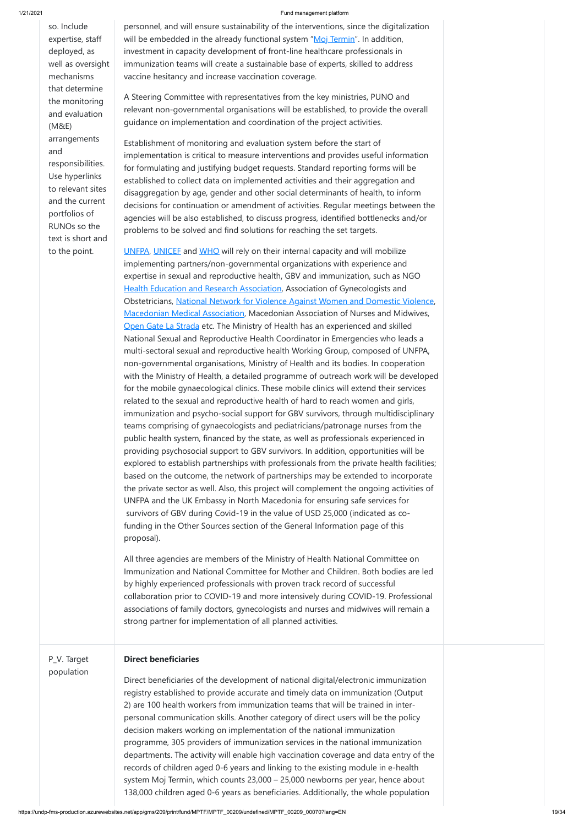so. Include expertise, staff deployed, as well as oversight mechanisms that determine the monitoring and evaluation (M&E) arrangements and responsibilities. Use hyperlinks to relevant sites and the current portfolios of RUNOs so the text is short and to the point.

personnel, and will ensure sustainability of the interventions, since the digitalization will be embedded in the already functional system "[Moj Termin](http://mojtermin.mk/patients)". In addition, investment in capacity development of front-line healthcare professionals in immunization teams will create a sustainable base of experts, skilled to address vaccine hesitancy and increase vaccination coverage.

A Steering Committee with representatives from the key ministries, PUNO and relevant non-governmental organisations will be established, to provide the overall guidance on implementation and coordination of the project activities.

Establishment of monitoring and evaluation system before the start of implementation is critical to measure interventions and provides useful information for formulating and justifying budget requests. Standard reporting forms will be established to collect data on implemented activities and their aggregation and disaggregation by age, gender and other social determinants of health, to inform decisions for continuation or amendment of activities. Regular meetings between the agencies will be also established, to discuss progress, identified bottlenecks and/or problems to be solved and find solutions for reaching the set targets.

[UNFPA,](https://mk.unfpa.org/en) [UNICEF](https://www.unicef.org/northmacedonia/) and [WHO](https://www.euro.who.int/en/countries/north-macedonia) will rely on their internal capacity and will mobilize implementing partners/non-governmental organizations with experience and expertise in sexual and reproductive health, GBV and immunization, such as NGO [Health Education and Research Association](https://hera.org.mk/?lang=en), Association of Gynecologists and Obstetricians, [National Network for Violence Against Women and Domestic Violence](https://www.glasprotivnasilstvo.org.mk/en/national-network/about-us/), [Macedonian Medical Association,](https://mld.mk/macedonian-medical-association/) Macedonian Association of Nurses and Midwives, [Open Gate La Strada](http://lastrada.org.mk/?lang=en) etc. The Ministry of Health has an experienced and skilled National Sexual and Reproductive Health Coordinator in Emergencies who leads a multi-sectoral sexual and reproductive health Working Group, composed of UNFPA, non-governmental organisations, Ministry of Health and its bodies. In cooperation with the Ministry of Health, a detailed programme of outreach work will be developed for the mobile gynaecological clinics. These mobile clinics will extend their services related to the sexual and reproductive health of hard to reach women and girls, immunization and psycho-social support for GBV survivors, through multidisciplinary teams comprising of gynaecologists and pediatricians/patronage nurses from the public health system, financed by the state, as well as professionals experienced in providing psychosocial support to GBV survivors. In addition, opportunities will be explored to establish partnerships with professionals from the private health facilities; based on the outcome, the network of partnerships may be extended to incorporate the private sector as well. Also, this project will complement the ongoing activities of UNFPA and the UK Embassy in North Macedonia for ensuring safe services for survivors of GBV during Covid-19 in the value of USD 25,000 (indicated as cofunding in the Other Sources section of the General Information page of this proposal).

All three agencies are members of the Ministry of Health National Committee on Immunization and National Committee for Mother and Children. Both bodies are led by highly experienced professionals with proven track record of successful collaboration prior to COVID-19 and more intensively during COVID-19. Professional associations of family doctors, gynecologists and nurses and midwives will remain a strong partner for implementation of all planned activities.

P\_V. Target population

## **Direct beneficiaries**

Direct beneficiaries of the development of national digital/electronic immunization registry established to provide accurate and timely data on immunization (Output 2) are 100 health workers from immunization teams that will be trained in interpersonal communication skills. Another category of direct users will be the policy decision makers working on implementation of the national immunization programme, 305 providers of immunization services in the national immunization departments. The activity will enable high vaccination coverage and data entry of the records of children aged 0-6 years and linking to the existing module in e-health system Moj Termin, which counts 23,000 – 25,000 newborns per year, hence about 138,000 children aged 0-6 years as beneficiaries. Additionally, the whole population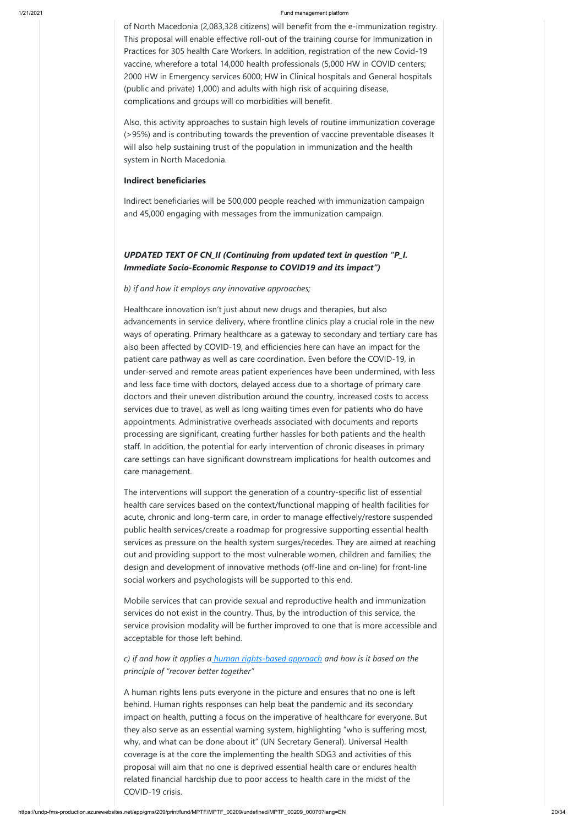of North Macedonia (2,083,328 citizens) will benefit from the e-immunization registry. This proposal will enable effective roll-out of the training course for Immunization in Practices for 305 health Care Workers. In addition, registration of the new Covid-19 vaccine, wherefore a total 14,000 health professionals (5,000 HW in COVID centers; 2000 HW in Emergency services 6000; HW in Clinical hospitals and General hospitals (public and private) 1,000) and adults with high risk of acquiring disease, complications and groups will co morbidities will benefit.

Also, this activity approaches to sustain high levels of routine immunization coverage (>95%) and is contributing towards the prevention of vaccine preventable diseases It will also help sustaining trust of the population in immunization and the health system in North Macedonia.

## **Indirect beneficiaries**

Indirect beneficiaries will be 500,000 people reached with immunization campaign and 45,000 engaging with messages from the immunization campaign.

## *UPDATED TEXT OF CN\_II (Continuing from updated text in question "P\_I. Immediate Socio-Economic Response to COVID19 and its impact")*

## *b) if and how it employs any innovative approaches;*

Healthcare innovation isn't just about new drugs and therapies, but also advancements in service delivery, where frontline clinics play a crucial role in the new ways of operating. Primary healthcare as a gateway to secondary and tertiary care has also been affected by COVID-19, and efficiencies here can have an impact for the patient care pathway as well as care coordination. Even before the COVID-19, in under-served and remote areas patient experiences have been undermined, with less and less face time with doctors, delayed access due to a shortage of primary care doctors and their uneven distribution around the country, increased costs to access services due to travel, as well as long waiting times even for patients who do have appointments. Administrative overheads associated with documents and reports processing are significant, creating further hassles for both patients and the health staff. In addition, the potential for early intervention of chronic diseases in primary care settings can have significant downstream implications for health outcomes and care management.

The interventions will support the generation of a country-specific list of essential health care services based on the context/functional mapping of health facilities for acute, chronic and long-term care, in order to manage effectively/restore suspended public health services/create a roadmap for progressive supporting essential health services as pressure on the health system surges/recedes. They are aimed at reaching out and providing support to the most vulnerable women, children and families; the design and development of innovative methods (off-line and on-line) for front-line social workers and psychologists will be supported to this end.

Mobile services that can provide sexual and reproductive health and immunization services do not exist in the country. Thus, by the introduction of this service, the service provision modality will be further improved to one that is more accessible and acceptable for those left behind.

*c) if and how it applies a [human rights-based approach](https://unitednations.sharepoint.com/sites/DCO-WG-UNSDG_CF/Shared%20Documents/COVID-Guide/HRBA-LNOB-Checklist-for-SE-Responses-COVID-19.pdf?web=1) and how is it based on the principle of "recover better together"*

A human rights lens puts everyone in the picture and ensures that no one is left behind. Human rights responses can help beat the pandemic and its secondary impact on health, putting a focus on the imperative of healthcare for everyone. But they also serve as an essential warning system, highlighting "who is suffering most, why, and what can be done about it" (UN Secretary General). Universal Health coverage is at the core the implementing the health SDG3 and activities of this proposal will aim that no one is deprived essential health care or endures health related financial hardship due to poor access to health care in the midst of the COVID-19 crisis.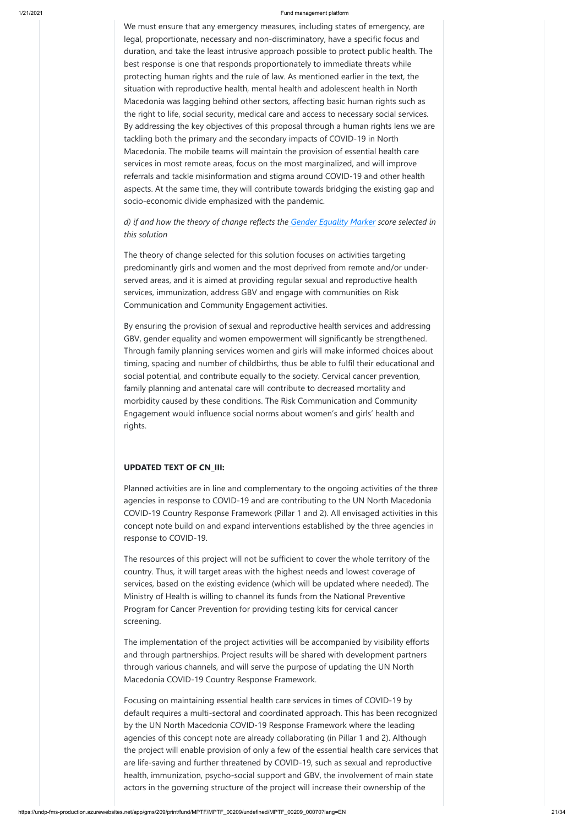We must ensure that any emergency measures, including states of emergency, are legal, proportionate, necessary and non-discriminatory, have a specific focus and duration, and take the least intrusive approach possible to protect public health. The best response is one that responds proportionately to immediate threats while protecting human rights and the rule of law. As mentioned earlier in the text, the situation with reproductive health, mental health and adolescent health in North Macedonia was lagging behind other sectors, affecting basic human rights such as the right to life, social security, medical care and access to necessary social services. By addressing the key objectives of this proposal through a human rights lens we are tackling both the primary and the secondary impacts of COVID-19 in North Macedonia. The mobile teams will maintain the provision of essential health care services in most remote areas, focus on the most marginalized, and will improve referrals and tackle misinformation and stigma around COVID-19 and other health aspects. At the same time, they will contribute towards bridging the existing gap and socio-economic divide emphasized with the pandemic.

## *d) if and how the theory of change reflects the [Gender Equality Marker](https://unsdg.un.org/resources/unct-gender-equality-marker-guidance-note) score selected in this solution*

The theory of change selected for this solution focuses on activities targeting predominantly girls and women and the most deprived from remote and/or underserved areas, and it is aimed at providing regular sexual and reproductive health services, immunization, address GBV and engage with communities on Risk Communication and Community Engagement activities.

By ensuring the provision of sexual and reproductive health services and addressing GBV, gender equality and women empowerment will significantly be strengthened. Through family planning services women and girls will make informed choices about timing, spacing and number of childbirths, thus be able to fulfil their educational and social potential, and contribute equally to the society. Cervical cancer prevention, family planning and antenatal care will contribute to decreased mortality and morbidity caused by these conditions. The Risk Communication and Community Engagement would influence social norms about women's and girls' health and rights.

## **UPDATED TEXT OF CN\_III:**

Planned activities are in line and complementary to the ongoing activities of the three agencies in response to COVID-19 and are contributing to the UN North Macedonia COVID-19 Country Response Framework (Pillar 1 and 2). All envisaged activities in this concept note build on and expand interventions established by the three agencies in response to COVID-19.

The resources of this project will not be sufficient to cover the whole territory of the country. Thus, it will target areas with the highest needs and lowest coverage of services, based on the existing evidence (which will be updated where needed). The Ministry of Health is willing to channel its funds from the National Preventive Program for Cancer Prevention for providing testing kits for cervical cancer screening.

The implementation of the project activities will be accompanied by visibility efforts and through partnerships. Project results will be shared with development partners through various channels, and will serve the purpose of updating the UN North Macedonia COVID-19 Country Response Framework.

Focusing on maintaining essential health care services in times of COVID-19 by default requires a multi-sectoral and coordinated approach. This has been recognized by the UN North Macedonia COVID-19 Response Framework where the leading agencies of this concept note are already collaborating (in Pillar 1 and 2). Although the project will enable provision of only a few of the essential health care services that are life-saving and further threatened by COVID-19, such as sexual and reproductive health, immunization, psycho-social support and GBV, the involvement of main state actors in the governing structure of the project will increase their ownership of the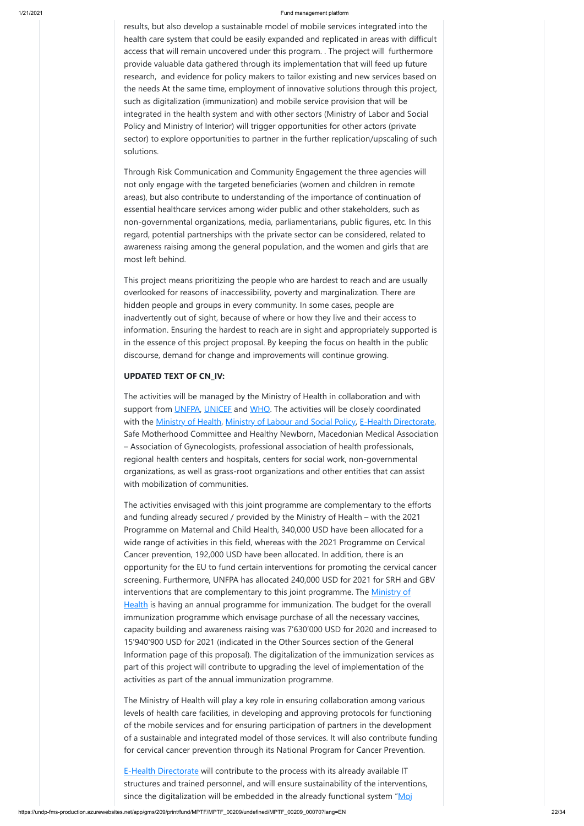results, but also develop a sustainable model of mobile services integrated into the health care system that could be easily expanded and replicated in areas with difficult access that will remain uncovered under this program. . The project will furthermore provide valuable data gathered through its implementation that will feed up future research, and evidence for policy makers to tailor existing and new services based on the needs At the same time, employment of innovative solutions through this project, such as digitalization (immunization) and mobile service provision that will be integrated in the health system and with other sectors (Ministry of Labor and Social Policy and Ministry of Interior) will trigger opportunities for other actors (private sector) to explore opportunities to partner in the further replication/upscaling of such solutions.

Through Risk Communication and Community Engagement the three agencies will not only engage with the targeted beneficiaries (women and children in remote areas), but also contribute to understanding of the importance of continuation of essential healthcare services among wider public and other stakeholders, such as non-governmental organizations, media, parliamentarians, public figures, etc. In this regard, potential partnerships with the private sector can be considered, related to awareness raising among the general population, and the women and girls that are most left behind.

This project means prioritizing the people who are hardest to reach and are usually overlooked for reasons of inaccessibility, poverty and marginalization. There are hidden people and groups in every community. In some cases, people are inadvertently out of sight, because of where or how they live and their access to information. Ensuring the hardest to reach are in sight and appropriately supported is in the essence of this project proposal. By keeping the focus on health in the public discourse, demand for change and improvements will continue growing.

## **UPDATED TEXT OF CN\_IV:**

The activities will be managed by the Ministry of Health in collaboration and with support from [UNFPA,](https://mk.unfpa.org/en) [UNICEF](https://www.unicef.org/northmacedonia/) and [WHO.](https://www.euro.who.int/en/countries/north-macedonia) The activities will be closely coordinated with the [Ministry of Health](http://zdravstvo.gov.mk/), [Ministry of Labour and Social Policy,](http://www.mtsp.gov.mk/) [E-Health Directorate](http://e-health.gov.mk/en/), Safe Motherhood Committee and Healthy Newborn, Macedonian Medical Association – Association of Gynecologists, professional association of health professionals, regional health centers and hospitals, centers for social work, non-governmental organizations, as well as grass-root organizations and other entities that can assist with mobilization of communities.

The activities envisaged with this joint programme are complementary to the efforts and funding already secured / provided by the Ministry of Health – with the 2021 Programme on Maternal and Child Health, 340,000 USD have been allocated for a wide range of activities in this field, whereas with the 2021 Programme on Cervical Cancer prevention, 192,000 USD have been allocated. In addition, there is an opportunity for the EU to fund certain interventions for promoting the cervical cancer screening. Furthermore, UNFPA has allocated 240,000 USD for 2021 for SRH and GBV interventions that are complementary to this joint programme. The Ministry of [Health is having an annual programme for immunization. The budget for the o](http://zdravstvo.gov.mk/)verall immunization programme which envisage purchase of all the necessary vaccines, capacity building and awareness raising was 7'630'000 USD for 2020 and increased to 15'940'900 USD for 2021 (indicated in the Other Sources section of the General Information page of this proposal). The digitalization of the immunization services as part of this project will contribute to upgrading the level of implementation of the activities as part of the annual immunization programme.

The Ministry of Health will play a key role in ensuring collaboration among various levels of health care facilities, in developing and approving protocols for functioning of the mobile services and for ensuring participation of partners in the development of a sustainable and integrated model of those services. It will also contribute funding for cervical cancer prevention through its National Program for Cancer Prevention.

**[E-Health Directorate](http://e-health.gov.mk/en/) will contribute to the process with its already available IT** structures and trained personnel, and will ensure sustainability of the interventions, since the digitalization will be embedded in the already functional system  $M_{\text{O}}$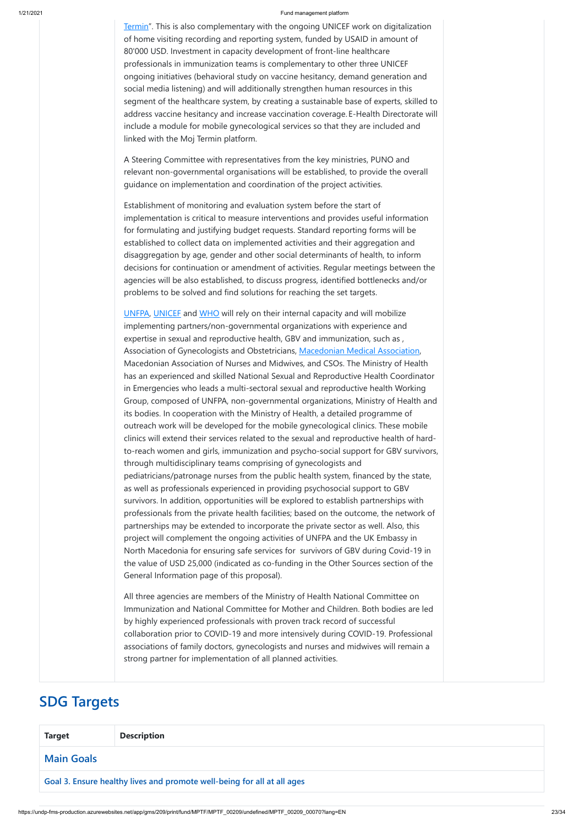[Termin". This is also complementary with the ongoing UNICEF work on digitaliza](http://mojtermin.mk/patients)tion of home visiting recording and reporting system, funded by USAID in amount of 80'000 USD. Investment in capacity development of front-line healthcare professionals in immunization teams is complementary to other three UNICEF ongoing initiatives (behavioral study on vaccine hesitancy, demand generation and social media listening) and will additionally strengthen human resources in this segment of the healthcare system, by creating a sustainable base of experts, skilled to address vaccine hesitancy and increase vaccination coverage. E-Health Directorate will include a module for mobile gynecological services so that they are included and linked with the Moj Termin platform.

A Steering Committee with representatives from the key ministries, PUNO and relevant non-governmental organisations will be established, to provide the overall guidance on implementation and coordination of the project activities.

Establishment of monitoring and evaluation system before the start of implementation is critical to measure interventions and provides useful information for formulating and justifying budget requests. Standard reporting forms will be established to collect data on implemented activities and their aggregation and disaggregation by age, gender and other social determinants of health, to inform decisions for continuation or amendment of activities. Regular meetings between the agencies will be also established, to discuss progress, identified bottlenecks and/or problems to be solved and find solutions for reaching the set targets.

[UNFPA,](https://mk.unfpa.org/en) [UNICEF](https://www.unicef.org/northmacedonia/) and [WHO](https://www.euro.who.int/en/countries/north-macedonia) will rely on their internal capacity and will mobilize implementing partners/non-governmental organizations with experience and expertise in sexual and reproductive health, GBV and immunization, such as , Association of Gynecologists and Obstetricians, [Macedonian Medical Association,](https://mld.mk/macedonian-medical-association/) Macedonian Association of Nurses and Midwives, and CSOs. The Ministry of Health has an experienced and skilled National Sexual and Reproductive Health Coordinator in Emergencies who leads a multi-sectoral sexual and reproductive health Working Group, composed of UNFPA, non-governmental organizations, Ministry of Health and its bodies. In cooperation with the Ministry of Health, a detailed programme of outreach work will be developed for the mobile gynecological clinics. These mobile clinics will extend their services related to the sexual and reproductive health of hardto-reach women and girls, immunization and psycho-social support for GBV survivors, through multidisciplinary teams comprising of gynecologists and pediatricians/patronage nurses from the public health system, financed by the state, as well as professionals experienced in providing psychosocial support to GBV survivors. In addition, opportunities will be explored to establish partnerships with professionals from the private health facilities; based on the outcome, the network of partnerships may be extended to incorporate the private sector as well. Also, this project will complement the ongoing activities of UNFPA and the UK Embassy in North Macedonia for ensuring safe services for survivors of GBV during Covid-19 in the value of USD 25,000 (indicated as co-funding in the Other Sources section of the General Information page of this proposal).

All three agencies are members of the Ministry of Health National Committee on Immunization and National Committee for Mother and Children. Both bodies are led by highly experienced professionals with proven track record of successful

| by inquiry experienced professionals with proven track record or saccessidi         |
|-------------------------------------------------------------------------------------|
| collaboration prior to COVID-19 and more intensively during COVID-19. Professional  |
| associations of family doctors, gynecologists and nurses and midwives will remain a |
| strong partner for implementation of all planned activities.                        |
|                                                                                     |
|                                                                                     |

## **SDG Targets**

| <b>Target</b>     | <b>Description</b>                                                      |  |  |  |  |  |
|-------------------|-------------------------------------------------------------------------|--|--|--|--|--|
| <b>Main Goals</b> |                                                                         |  |  |  |  |  |
|                   | Goal 3. Ensure healthy lives and promote well-being for all at all ages |  |  |  |  |  |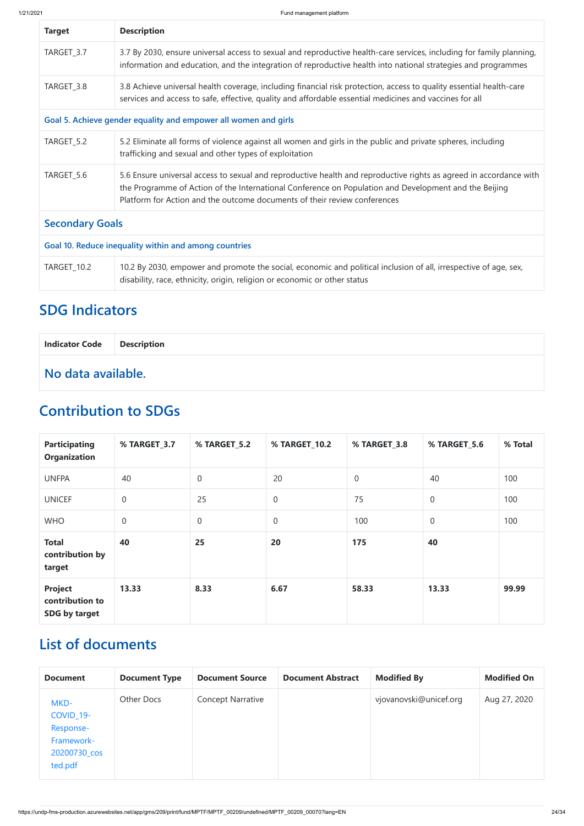| <b>Target</b>                                         | <b>Description</b>                                                                                                                                                                                                                                                                                       |  |  |  |  |
|-------------------------------------------------------|----------------------------------------------------------------------------------------------------------------------------------------------------------------------------------------------------------------------------------------------------------------------------------------------------------|--|--|--|--|
| TARGET_3.7                                            | 3.7 By 2030, ensure universal access to sexual and reproductive health-care services, including for family planning,<br>information and education, and the integration of reproductive health into national strategies and programmes                                                                    |  |  |  |  |
| TARGET_3.8                                            | 3.8 Achieve universal health coverage, including financial risk protection, access to quality essential health-care<br>services and access to safe, effective, quality and affordable essential medicines and vaccines for all                                                                           |  |  |  |  |
|                                                       | Goal 5. Achieve gender equality and empower all women and girls                                                                                                                                                                                                                                          |  |  |  |  |
| TARGET_5.2                                            | 5.2 Eliminate all forms of violence against all women and girls in the public and private spheres, including<br>trafficking and sexual and other types of exploitation                                                                                                                                   |  |  |  |  |
| TARGET_5.6                                            | 5.6 Ensure universal access to sexual and reproductive health and reproductive rights as agreed in accordance with<br>the Programme of Action of the International Conference on Population and Development and the Beijing<br>Platform for Action and the outcome documents of their review conferences |  |  |  |  |
| <b>Secondary Goals</b>                                |                                                                                                                                                                                                                                                                                                          |  |  |  |  |
| Goal 10. Reduce inequality within and among countries |                                                                                                                                                                                                                                                                                                          |  |  |  |  |
| <b>TARGET_10.2</b>                                    | 10.2 By 2030, empower and promote the social, economic and political inclusion of all, irrespective of age, sex,<br>disability, race, ethnicity, origin, religion or economic or other status                                                                                                            |  |  |  |  |

## **SDG Indicators**

| Indicator Code   Description |  |
|------------------------------|--|
| No data available.           |  |

## **Contribution to SDGs**

| <b>Participating</b><br><b>Organization</b>        | % TARGET_3.7 | % TARGET_5.2   | % TARGET_10.2 | % TARGET_3.8   | % TARGET_5.6     | % Total |
|----------------------------------------------------|--------------|----------------|---------------|----------------|------------------|---------|
| <b>UNFPA</b>                                       | 40           | $\overline{0}$ | 20            | $\overline{0}$ | 40               | 100     |
| <b>UNICEF</b>                                      | $\mathbf 0$  | 25             | $\theta$      | 75             | $\boldsymbol{0}$ | 100     |
| <b>WHO</b>                                         | $\mathbf 0$  | $\overline{0}$ | $\theta$      | 100            | $\boldsymbol{0}$ | 100     |
| <b>Total</b><br>contribution by<br>target          | 40           | 25             | 20            | 175            | 40               |         |
| <b>Project</b><br>contribution to<br>SDG by target | 13.33        | 8.33           | 6.67          | 58.33          | 13.33            | 99.99   |

## **List of documents**

| <b>Document</b>                                                                      | <b>Document Type</b> | <b>Document Source</b>   | <b>Document Abstract</b> | <b>Modified By</b>     | <b>Modified On</b> |
|--------------------------------------------------------------------------------------|----------------------|--------------------------|--------------------------|------------------------|--------------------|
| MKD-<br>COVID <sub>_19</sub> -<br>Response-<br>Framework-<br>20200730_cos<br>ted.pdf | Other Docs           | <b>Concept Narrative</b> |                          | vjovanovski@unicef.org | Aug 27, 2020       |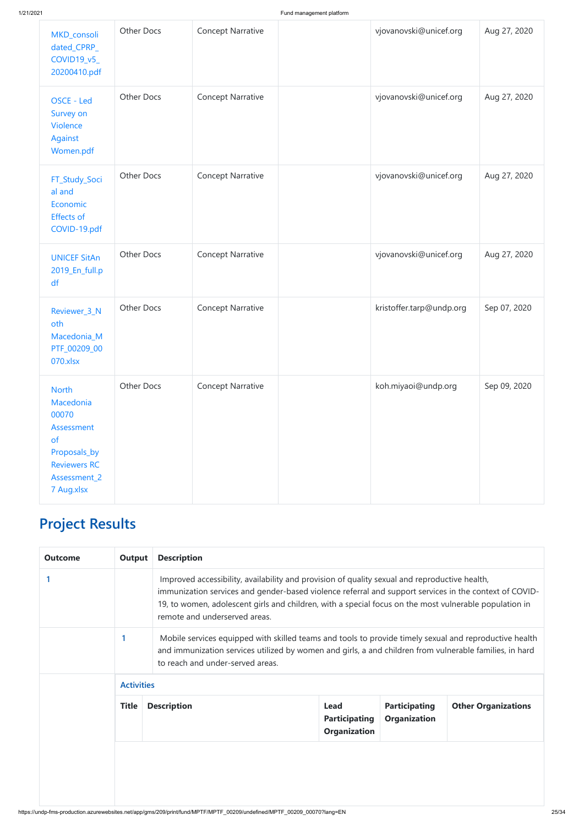| MKD_consoli<br>dated_CPRP_<br>COVID19_v5_<br>20200410.pdf                                                                   | Other Docs        | <b>Concept Narrative</b> | vjovanovski@unicef.org   | Aug 27, 2020 |
|-----------------------------------------------------------------------------------------------------------------------------|-------------------|--------------------------|--------------------------|--------------|
| OSCE - Led<br>Survey on<br><b>Violence</b><br>Against<br>Women.pdf                                                          | Other Docs        | <b>Concept Narrative</b> | vjovanovski@unicef.org   | Aug 27, 2020 |
| FT_Study_Soci<br>al and<br>Economic<br><b>Effects of</b><br>COVID-19.pdf                                                    | Other Docs        | <b>Concept Narrative</b> | vjovanovski@unicef.org   | Aug 27, 2020 |
| <b>UNICEF SitAn</b><br>2019_En_full.p<br>df                                                                                 | Other Docs        | <b>Concept Narrative</b> | vjovanovski@unicef.org   | Aug 27, 2020 |
| Reviewer_3_N<br>oth<br>Macedonia_M<br>PTF_00209_00<br>070.xlsx                                                              | Other Docs        | <b>Concept Narrative</b> | kristoffer.tarp@undp.org | Sep 07, 2020 |
| <b>North</b><br>Macedonia<br>00070<br>Assessment<br>of<br>Proposals_by<br><b>Reviewers RC</b><br>Assessment_2<br>7 Aug.xlsx | <b>Other Docs</b> | <b>Concept Narrative</b> | koh.miyaoi@undp.org      | Sep 09, 2020 |

## **Project Results**

| <b>Outcome</b> | Output | <b>Description</b>                                                                                                                                                                                      |
|----------------|--------|---------------------------------------------------------------------------------------------------------------------------------------------------------------------------------------------------------|
|                |        | Improved accessibility, availability and provision of quality sexual and reproductive health,<br>immunization services and gender-based violence referral and support services in the context of COVID- |
|                |        | 19, to women, adolescent girls and children, with a special focus on the most vulnerable population in<br>remote and underserved areas.                                                                 |

| <b>Activities</b> |                    |                                                            |                                             |                            |
|-------------------|--------------------|------------------------------------------------------------|---------------------------------------------|----------------------------|
| <b>Title</b>      | <b>Description</b> | <b>Lead</b><br><b>Participating</b><br><b>Organization</b> | <b>Participating</b><br><b>Organization</b> | <b>Other Organizations</b> |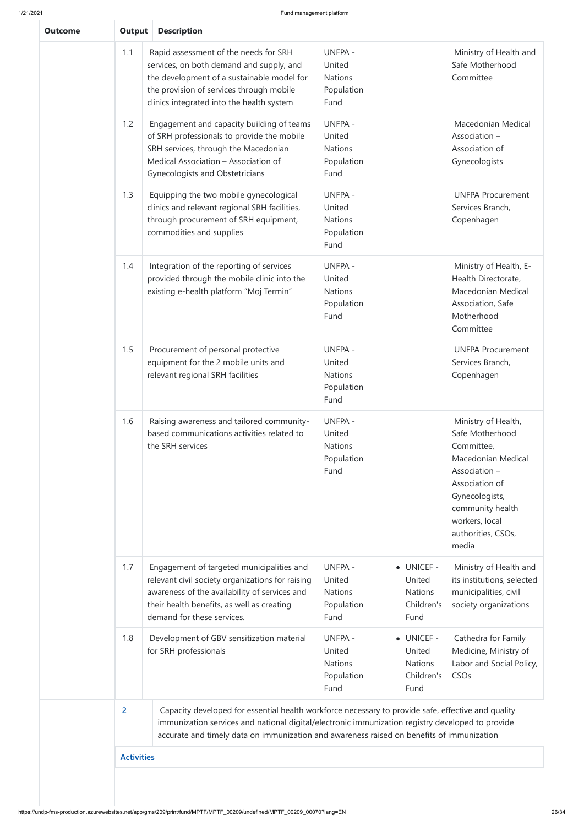| <b>Outcome</b> | <b>Output</b>     | <b>Description</b>                                                                                                                                                                                                                                                                                  |                                                                  |                                                              |                                                                                                                                                                                                      |
|----------------|-------------------|-----------------------------------------------------------------------------------------------------------------------------------------------------------------------------------------------------------------------------------------------------------------------------------------------------|------------------------------------------------------------------|--------------------------------------------------------------|------------------------------------------------------------------------------------------------------------------------------------------------------------------------------------------------------|
|                | 1.1               | Rapid assessment of the needs for SRH<br>services, on both demand and supply, and<br>the development of a sustainable model for<br>the provision of services through mobile<br>clinics integrated into the health system                                                                            | <b>UNFPA -</b><br>United<br><b>Nations</b><br>Population<br>Fund |                                                              | Ministry of Health and<br>Safe Motherhood<br>Committee                                                                                                                                               |
|                | 1.2               | Engagement and capacity building of teams<br>of SRH professionals to provide the mobile<br>SRH services, through the Macedonian<br>Medical Association - Association of<br>Gynecologists and Obstetricians                                                                                          | <b>UNFPA -</b><br>United<br><b>Nations</b><br>Population<br>Fund |                                                              | Macedonian Medical<br>Association -<br>Association of<br>Gynecologists                                                                                                                               |
|                | 1.3               | Equipping the two mobile gynecological<br>clinics and relevant regional SRH facilities,<br>through procurement of SRH equipment,<br>commodities and supplies                                                                                                                                        | <b>UNFPA -</b><br>United<br><b>Nations</b><br>Population<br>Fund |                                                              | <b>UNFPA Procurement</b><br>Services Branch,<br>Copenhagen                                                                                                                                           |
|                | 1.4               | Integration of the reporting of services<br>provided through the mobile clinic into the<br>existing e-health platform "Moj Termin"                                                                                                                                                                  | <b>UNFPA -</b><br>United<br><b>Nations</b><br>Population<br>Fund |                                                              | Ministry of Health, E-<br>Health Directorate,<br>Macedonian Medical<br>Association, Safe<br>Motherhood<br>Committee                                                                                  |
| 1.5            |                   | Procurement of personal protective<br>equipment for the 2 mobile units and<br>relevant regional SRH facilities                                                                                                                                                                                      | <b>UNFPA -</b><br>United<br><b>Nations</b><br>Population<br>Fund |                                                              | <b>UNFPA Procurement</b><br>Services Branch,<br>Copenhagen                                                                                                                                           |
| 1.6            |                   | Raising awareness and tailored community-<br>based communications activities related to<br>the SRH services                                                                                                                                                                                         | <b>UNFPA -</b><br>United<br><b>Nations</b><br>Population<br>Fund |                                                              | Ministry of Health,<br>Safe Motherhood<br>Committee,<br>Macedonian Medical<br>Association -<br>Association of<br>Gynecologists,<br>community health<br>workers, local<br>authorities, CSOs,<br>media |
|                | 1.7               | Engagement of targeted municipalities and<br>relevant civil society organizations for raising<br>awareness of the availability of services and<br>their health benefits, as well as creating<br>demand for these services.                                                                          | <b>UNFPA -</b><br>United<br><b>Nations</b><br>Population<br>Fund | • UNICEF -<br>United<br><b>Nations</b><br>Children's<br>Fund | Ministry of Health and<br>its institutions, selected<br>municipalities, civil<br>society organizations                                                                                               |
|                | 1.8               | Development of GBV sensitization material<br>for SRH professionals                                                                                                                                                                                                                                  | <b>UNFPA -</b><br>United<br><b>Nations</b><br>Population<br>Fund | • UNICEF -<br>United<br><b>Nations</b><br>Children's<br>Fund | Cathedra for Family<br>Medicine, Ministry of<br>Labor and Social Policy,<br><b>CSOs</b>                                                                                                              |
|                | $\overline{2}$    | Capacity developed for essential health workforce necessary to provide safe, effective and quality<br>immunization services and national digital/electronic immunization registry developed to provide<br>accurate and timely data on immunization and awareness raised on benefits of immunization |                                                                  |                                                              |                                                                                                                                                                                                      |
|                | <b>Activities</b> |                                                                                                                                                                                                                                                                                                     |                                                                  |                                                              |                                                                                                                                                                                                      |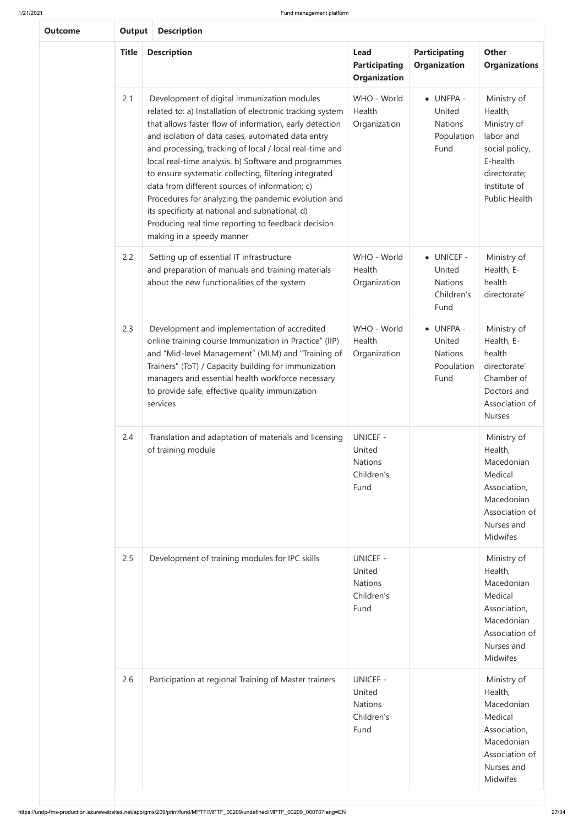https://undp-fms-production.azurewebsites.net/app/gms/209/print/fund/MPTF/MPTF\_00209/undefined/MPTF\_00209\_00070?lang=EN 27/34

| <b>Outcome</b> | <b>Description</b><br><b>Output</b> |                                                                                                                                                                                                                                                                                                                                                                                                                                                                                                                                                                                                                                                     |                                                                   |                                                                                                                     |                                                                                                                                          |  |  |  |  |  |  |
|----------------|-------------------------------------|-----------------------------------------------------------------------------------------------------------------------------------------------------------------------------------------------------------------------------------------------------------------------------------------------------------------------------------------------------------------------------------------------------------------------------------------------------------------------------------------------------------------------------------------------------------------------------------------------------------------------------------------------------|-------------------------------------------------------------------|---------------------------------------------------------------------------------------------------------------------|------------------------------------------------------------------------------------------------------------------------------------------|--|--|--|--|--|--|
|                | <b>Title</b>                        | <b>Description</b>                                                                                                                                                                                                                                                                                                                                                                                                                                                                                                                                                                                                                                  | <b>Lead</b><br><b>Participating</b><br><b>Organization</b>        | <b>Participating</b><br><b>Organization</b>                                                                         | <b>Other</b><br><b>Organizations</b>                                                                                                     |  |  |  |  |  |  |
|                | 2.1                                 | Development of digital immunization modules<br>related to: a) Installation of electronic tracking system<br>that allows faster flow of information, early detection<br>and isolation of data cases, automated data entry<br>and processing, tracking of local / local real-time and<br>local real-time analysis. b) Software and programmes<br>to ensure systematic collecting, filtering integrated<br>data from different sources of information; c)<br>Procedures for analyzing the pandemic evolution and<br>its specificity at national and subnational; d)<br>Producing real time reporting to feedback decision<br>making in a speedy manner | WHO - World<br>Health<br>Organization                             | • UNFPA -<br>United<br><b>Nations</b><br>Population<br>Fund                                                         | Ministry of<br>Health,<br>Ministry of<br>labor and<br>social policy,<br>E-health<br>directorate;<br>Institute of<br><b>Public Health</b> |  |  |  |  |  |  |
|                | 2.2                                 | Setting up of essential IT infrastructure<br>and preparation of manuals and training materials<br>about the new functionalities of the system                                                                                                                                                                                                                                                                                                                                                                                                                                                                                                       | WHO - World<br>Health<br>Organization                             | • UNICEF -<br>United<br><b>Nations</b><br>Children's<br>Fund                                                        | Ministry of<br>Health, E-<br>health<br>directorate'                                                                                      |  |  |  |  |  |  |
|                | 2.3                                 | Development and implementation of accredited<br>online training course Immunization in Practice" (IIP)<br>and "Mid-level Management" (MLM) and "Training of<br>Trainers" (ToT) / Capacity building for immunization<br>managers and essential health workforce necessary<br>to provide safe, effective quality immunization<br>services                                                                                                                                                                                                                                                                                                             | WHO - World<br>Health<br>Organization                             | Ministry of<br>Health, E-<br>health<br>directorate'<br>Chamber of<br>Doctors and<br>Association of<br><b>Nurses</b> |                                                                                                                                          |  |  |  |  |  |  |
|                | 2.4                                 | Translation and adaptation of materials and licensing<br>of training module                                                                                                                                                                                                                                                                                                                                                                                                                                                                                                                                                                         | <b>UNICEF -</b><br>United<br><b>Nations</b><br>Children's<br>Fund |                                                                                                                     | Ministry of<br>Health,<br>Macedonian<br>Medical<br>Association,<br>Macedonian<br>Association of<br>Nurses and<br><b>Midwifes</b>         |  |  |  |  |  |  |
|                | 2.5                                 | Development of training modules for IPC skills                                                                                                                                                                                                                                                                                                                                                                                                                                                                                                                                                                                                      | <b>UNICEF -</b><br>United<br><b>Nations</b><br>Children's<br>Fund |                                                                                                                     | Ministry of<br>Health,<br>Macedonian<br>Medical<br>Association,<br>Macedonian<br>Association of<br>Nurses and<br><b>Midwifes</b>         |  |  |  |  |  |  |
|                | 2.6                                 | Participation at regional Training of Master trainers                                                                                                                                                                                                                                                                                                                                                                                                                                                                                                                                                                                               | <b>UNICEF -</b><br>United<br><b>Nations</b><br>Children's<br>Fund |                                                                                                                     | Ministry of<br>Health,<br>Macedonian<br>Medical<br>Association,<br>Macedonian<br>Association of<br>Nurses and<br><b>Midwifes</b>         |  |  |  |  |  |  |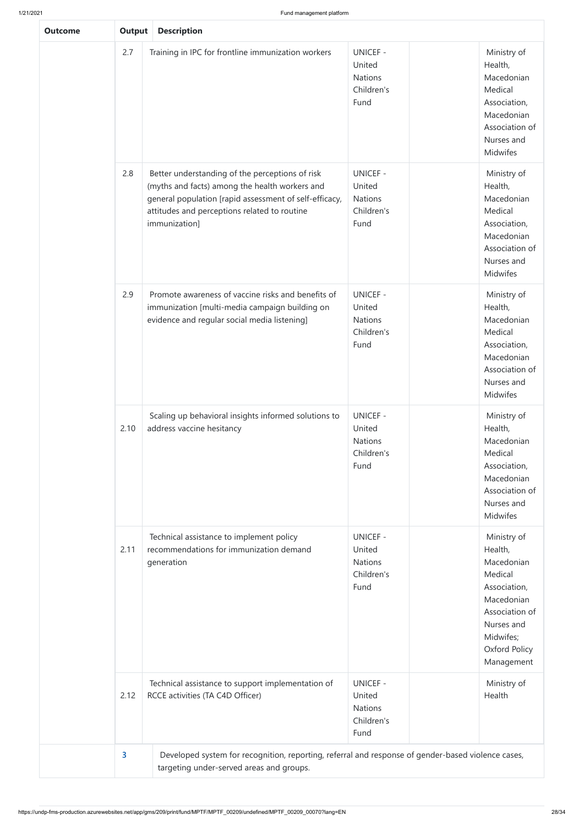| <b>Output</b><br><b>Description</b> |                                                                                                                                                                                                                              |                                                                   |                                                                                                                                                           |  |  |  |  |  |  |  |
|-------------------------------------|------------------------------------------------------------------------------------------------------------------------------------------------------------------------------------------------------------------------------|-------------------------------------------------------------------|-----------------------------------------------------------------------------------------------------------------------------------------------------------|--|--|--|--|--|--|--|
| 2.7                                 | Training in IPC for frontline immunization workers                                                                                                                                                                           | <b>UNICEF -</b><br>United<br><b>Nations</b><br>Children's<br>Fund | Ministry of<br>Health,<br>Macedonian<br>Medical<br>Association,<br>Macedonian<br>Association of<br>Nurses and<br>Midwifes                                 |  |  |  |  |  |  |  |
| 2.8                                 | Better understanding of the perceptions of risk<br>(myths and facts) among the health workers and<br>general population [rapid assessment of self-efficacy,<br>attitudes and perceptions related to routine<br>immunization] | <b>UNICEF -</b><br>United<br>Nations<br>Children's<br>Fund        | Ministry of<br>Health,<br>Macedonian<br>Medical<br>Association,<br>Macedonian<br>Association of<br>Nurses and<br>Midwifes                                 |  |  |  |  |  |  |  |
| 2.9                                 | Promote awareness of vaccine risks and benefits of<br>immunization [multi-media campaign building on<br>evidence and regular social media listening]                                                                         | <b>UNICEF -</b><br>United<br><b>Nations</b><br>Children's<br>Fund | Ministry of<br>Health,<br>Macedonian<br>Medical<br>Association,<br>Macedonian<br>Association of<br>Nurses and<br>Midwifes                                 |  |  |  |  |  |  |  |
| 2.10                                | Scaling up behavioral insights informed solutions to<br>address vaccine hesitancy                                                                                                                                            | <b>UNICEF -</b><br>United<br>Nations<br>Children's<br>Fund        | Ministry of<br>Health,<br>Macedonian<br>Medical<br>Association,<br>Macedonian<br>Association of<br>Nurses and<br>Midwifes                                 |  |  |  |  |  |  |  |
| 2.11                                | Technical assistance to implement policy<br>recommendations for immunization demand<br>generation                                                                                                                            | <b>UNICEF -</b><br>United<br><b>Nations</b><br>Children's<br>Fund | Ministry of<br>Health,<br>Macedonian<br>Medical<br>Association,<br>Macedonian<br>Association of<br>Nurses and<br>Midwifes;<br>Oxford Policy<br>Management |  |  |  |  |  |  |  |
| 2.12                                | Technical assistance to support implementation of<br>RCCE activities (TA C4D Officer)                                                                                                                                        | <b>UNICEF -</b><br>United<br><b>Nations</b><br>Children's         | Ministry of<br>Health                                                                                                                                     |  |  |  |  |  |  |  |
|                                     |                                                                                                                                                                                                                              |                                                                   |                                                                                                                                                           |  |  |  |  |  |  |  |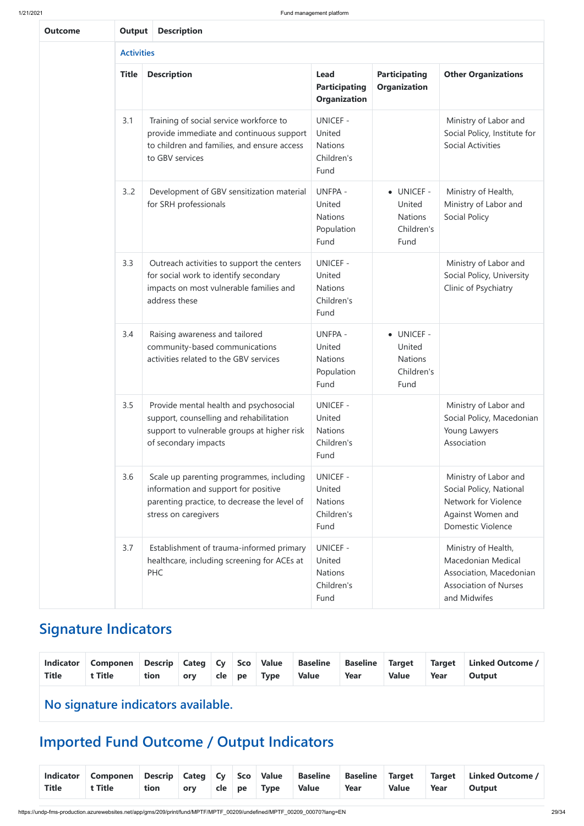https://undp-fms-production.azurewebsites.net/app/gms/209/print/fund/MPTF/MPTF\_00209/undefined/MPTF\_00209\_00070?lang=EN 29/34

| <b>Outcome</b> |                   | <b>Description</b><br>Output                                                                                                                             |                                                                   |                                                              |                                                                                                                           |  |  |  |  |  |  |  |  |  |
|----------------|-------------------|----------------------------------------------------------------------------------------------------------------------------------------------------------|-------------------------------------------------------------------|--------------------------------------------------------------|---------------------------------------------------------------------------------------------------------------------------|--|--|--|--|--|--|--|--|--|
|                | <b>Activities</b> |                                                                                                                                                          |                                                                   |                                                              |                                                                                                                           |  |  |  |  |  |  |  |  |  |
|                | <b>Title</b>      | <b>Description</b>                                                                                                                                       | <b>Lead</b><br><b>Participating</b><br><b>Organization</b>        | <b>Participating</b><br><b>Organization</b>                  | <b>Other Organizations</b>                                                                                                |  |  |  |  |  |  |  |  |  |
|                | 3.1               | Training of social service workforce to<br>provide immediate and continuous support<br>to children and families, and ensure access<br>to GBV services    | <b>UNICEF -</b><br>United<br><b>Nations</b><br>Children's<br>Fund |                                                              | Ministry of Labor and<br>Social Policy, Institute for<br><b>Social Activities</b>                                         |  |  |  |  |  |  |  |  |  |
|                | 3.2               | Development of GBV sensitization material<br>for SRH professionals                                                                                       | <b>UNFPA -</b><br>United<br><b>Nations</b><br>Population<br>Fund  | • UNICEF -<br>United<br><b>Nations</b><br>Children's<br>Fund | Ministry of Health,<br>Ministry of Labor and<br>Social Policy                                                             |  |  |  |  |  |  |  |  |  |
|                | 3.3               | Outreach activities to support the centers<br>for social work to identify secondary<br>impacts on most vulnerable families and<br>address these          | <b>UNICEF -</b><br>United<br><b>Nations</b><br>Children's<br>Fund |                                                              | Ministry of Labor and<br>Social Policy, University<br>Clinic of Psychiatry                                                |  |  |  |  |  |  |  |  |  |
|                | 3.4               | Raising awareness and tailored<br>community-based communications<br>activities related to the GBV services                                               | <b>UNFPA -</b><br>United<br><b>Nations</b><br>Population<br>Fund  | · UNICEF -<br>United<br><b>Nations</b><br>Children's<br>Fund |                                                                                                                           |  |  |  |  |  |  |  |  |  |
|                | 3.5               | Provide mental health and psychosocial<br>support, counselling and rehabilitation<br>support to vulnerable groups at higher risk<br>of secondary impacts | <b>UNICEF -</b><br>United<br><b>Nations</b><br>Children's<br>Fund |                                                              | Ministry of Labor and<br>Social Policy, Macedonian<br>Young Lawyers<br>Association                                        |  |  |  |  |  |  |  |  |  |
|                | 3.6               | Scale up parenting programmes, including<br>information and support for positive<br>parenting practice, to decrease the level of<br>stress on caregivers | <b>UNICEF -</b><br>United<br><b>Nations</b><br>Children's<br>Fund |                                                              | Ministry of Labor and<br>Social Policy, National<br>Network for Violence<br>Against Women and<br><b>Domestic Violence</b> |  |  |  |  |  |  |  |  |  |
|                | 3.7               | Establishment of trauma-informed primary<br>healthcare, including screening for ACEs at<br><b>PHC</b>                                                    | <b>UNICEF -</b><br>United<br>Nations<br>Children's<br>Fund        |                                                              | Ministry of Health,<br>Macedonian Medical<br>Association, Macedonian<br><b>Association of Nurses</b><br>and Midwifes      |  |  |  |  |  |  |  |  |  |

## **Signature Indicators**

| <b>Indicator</b><br><b>Title</b> | <b>Componen</b><br>t Title         | Descrip Categ Cy Sco Value<br>tion | ory | cle | pe | <b>Type</b> | <b>Baseline</b><br><b>Value</b> | Baseline<br>Year | <b>Target</b><br><b>Value</b> | <b>Target</b><br>Year | Linked Outcome /<br>Output |
|----------------------------------|------------------------------------|------------------------------------|-----|-----|----|-------------|---------------------------------|------------------|-------------------------------|-----------------------|----------------------------|
|                                  | No signature indicators available. |                                    |     |     |    |             |                                 |                  |                               |                       |                            |

## **Imported Fund Outcome / Output Indicators**

| <b>Indicator</b> | Componen | Descrip Categ Cy Sco Value |     |        |                 | <b>Baseline</b> | <b>Baseline</b> | Target       | <b>Target</b> | <b>Linked Outcome /</b> |
|------------------|----------|----------------------------|-----|--------|-----------------|-----------------|-----------------|--------------|---------------|-------------------------|
| <b>Title</b>     | t Title  | tion                       | ory | cle pe | $\mathsf{Type}$ | <b>Value</b>    | Year            | <b>Value</b> | Year          | <b>Output</b>           |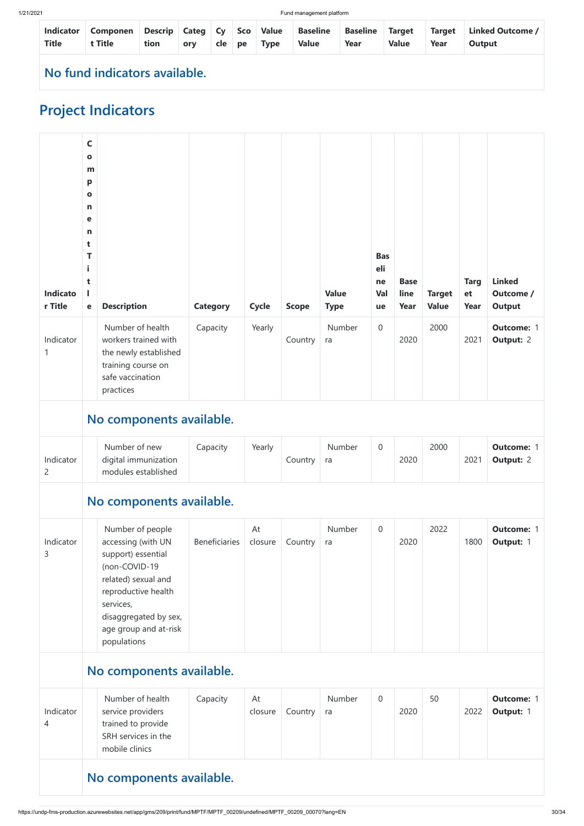| <b>Indicator</b><br><b>Title</b> | Componen   Descrip   Categ   Cy   Sco   Value<br>t Title | tion | orv | cle   pe | Type | Baseline<br><b>Value</b> | <b>Baseline Target</b><br>Year | <b>Value</b> | <b>Target</b><br>Year | Linked Outcome /<br>Output |
|----------------------------------|----------------------------------------------------------|------|-----|----------|------|--------------------------|--------------------------------|--------------|-----------------------|----------------------------|
|                                  | No fund indicators available.                            |      |     |          |      |                          |                                |              |                       |                            |

# **Project Indicators**

| <b>Indicato</b><br>r Title  | $\mathsf{C}$<br>$\bullet$<br>m<br>p<br>$\bullet$<br>$\mathbf n$<br>е<br>$\mathbf n$<br>t<br>T<br>i<br>t<br>I<br>e | <b>Description</b><br>Number of health                                                                                                                            | <b>Category</b><br>Capacity | <b>Cycle</b><br>Yearly | <b>Scope</b> | <b>Value</b><br><b>Type</b><br><b>Number</b> | <b>Bas</b><br>eli<br>ne<br>Val<br>ue<br>$\boldsymbol{0}$ | <b>Base</b><br>line<br>Year | <b>Target</b><br><b>Value</b><br>2000 | <b>Targ</b><br>et<br>Year | <b>Linked</b><br>Outcome /<br><b>Output</b><br><b>Outcome: 1</b> |
|-----------------------------|-------------------------------------------------------------------------------------------------------------------|-------------------------------------------------------------------------------------------------------------------------------------------------------------------|-----------------------------|------------------------|--------------|----------------------------------------------|----------------------------------------------------------|-----------------------------|---------------------------------------|---------------------------|------------------------------------------------------------------|
| Indicator<br>1              |                                                                                                                   | workers trained with<br>the newly established<br>training course on<br>safe vaccination<br>practices                                                              |                             |                        | Country      | ra                                           |                                                          | 2020                        |                                       | 2021                      | <b>Output: 2</b>                                                 |
|                             |                                                                                                                   | No components available.                                                                                                                                          |                             |                        |              |                                              |                                                          |                             |                                       |                           |                                                                  |
| Indicator<br>$\overline{2}$ |                                                                                                                   | Number of new<br>digital immunization<br>modules established                                                                                                      | Capacity                    | Yearly                 | Country      | Number<br>ra                                 | $\overline{0}$                                           | 2020                        | 2000                                  | 2021                      | <b>Outcome: 1</b><br><b>Output: 2</b>                            |
|                             |                                                                                                                   | No components available.                                                                                                                                          |                             |                        |              |                                              |                                                          |                             |                                       |                           |                                                                  |
| Indicator<br>3              |                                                                                                                   | Number of people<br>accessing (with UN<br>support) essential<br>(non-COVID-19<br>related) sexual and<br>reproductive health<br>services,<br>disaggregated by sex, | <b>Beneficiaries</b>        | At<br>closure          | Country      | Number<br>ra                                 | $\overline{0}$                                           | 2020                        | 2022                                  | 1800                      | <b>Outcome: 1</b><br>Output: 1                                   |

|                | disaggregated by sex,<br>age group and at-risk<br>populations                                        |          |               |         |              |                |      |    |      |                                |
|----------------|------------------------------------------------------------------------------------------------------|----------|---------------|---------|--------------|----------------|------|----|------|--------------------------------|
|                | No components available.                                                                             |          |               |         |              |                |      |    |      |                                |
| Indicator<br>4 | Number of health<br>service providers<br>trained to provide<br>SRH services in the<br>mobile clinics | Capacity | At<br>closure | Country | Number<br>ra | $\overline{0}$ | 2020 | 50 | 2022 | <b>Outcome: 1</b><br>Output: 1 |
|                | No components available.                                                                             |          |               |         |              |                |      |    |      |                                |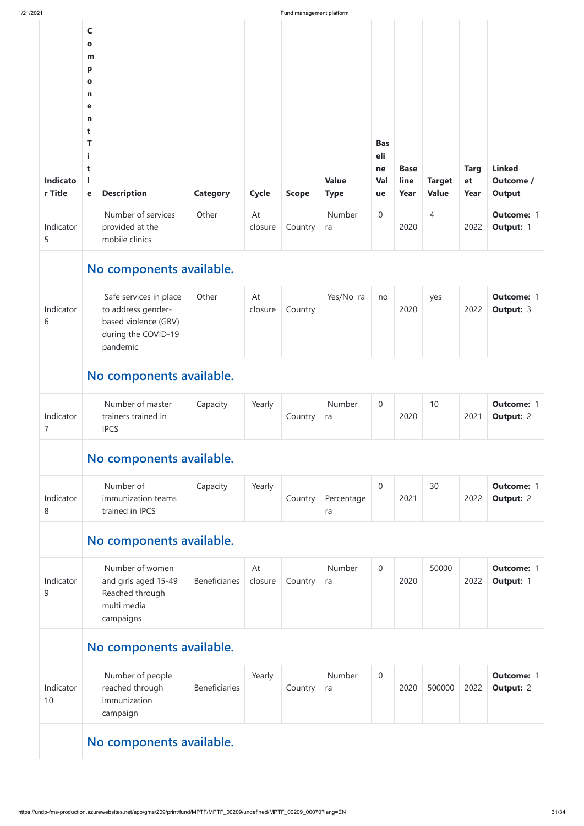| 1/21/2021           |                                                                                                                           |                                                                                                         |                      |               | Fund management platform |                             |                                      |                             |                               |                           |                                             |
|---------------------|---------------------------------------------------------------------------------------------------------------------------|---------------------------------------------------------------------------------------------------------|----------------------|---------------|--------------------------|-----------------------------|--------------------------------------|-----------------------------|-------------------------------|---------------------------|---------------------------------------------|
| Indicato<br>r Title | $\mathsf{C}$<br>$\mathbf{o}$<br>m<br>p<br>$\mathbf{o}$<br>$\mathsf{n}$<br>е<br>$\mathsf{n}$<br>t<br>T<br>i<br>t<br>L<br>e | <b>Description</b>                                                                                      | <b>Category</b>      | <b>Cycle</b>  | <b>Scope</b>             | <b>Value</b><br><b>Type</b> | <b>Bas</b><br>eli<br>ne<br>Val<br>ue | <b>Base</b><br>line<br>Year | <b>Target</b><br><b>Value</b> | <b>Targ</b><br>et<br>Year | <b>Linked</b><br>Outcome /<br><b>Output</b> |
| Indicator<br>5      |                                                                                                                           | Number of services<br>provided at the<br>mobile clinics                                                 | Other                | At<br>closure | Country                  | Number<br>ra                | $\overline{0}$                       | 2020                        | 4                             | 2022                      | <b>Outcome: 1</b><br>Output: 1              |
|                     |                                                                                                                           | No components available.                                                                                |                      |               |                          |                             |                                      |                             |                               |                           |                                             |
| Indicator<br>6      |                                                                                                                           | Safe services in place<br>to address gender-<br>based violence (GBV)<br>during the COVID-19<br>pandemic | Other                | At<br>closure | Country                  | Yes/No ra                   | no                                   | 2020                        | yes                           | 2022                      | <b>Outcome: 1</b><br><b>Output: 3</b>       |
|                     |                                                                                                                           | No components available.                                                                                |                      |               |                          |                             |                                      |                             |                               |                           |                                             |
| Indicator<br>7      |                                                                                                                           | Number of master<br>trainers trained in<br><b>IPCS</b>                                                  | Capacity             | Yearly        | Country                  | Number<br>ra                | $\overline{0}$                       | 2020                        | 10                            | 2021                      | <b>Outcome: 1</b><br><b>Output: 2</b>       |
|                     |                                                                                                                           | No components available.                                                                                |                      |               |                          |                             |                                      |                             |                               |                           |                                             |
| Indicator<br>8      |                                                                                                                           | Number of<br>immunization teams<br>trained in IPCS                                                      | Capacity             | Yearly        | Country                  | Percentage<br>ra            | $\overline{0}$                       | 2021                        | 30                            | 2022                      | <b>Outcome: 1</b><br><b>Output: 2</b>       |
|                     |                                                                                                                           | No components available.                                                                                |                      |               |                          |                             |                                      |                             |                               |                           |                                             |
| Indicator<br>9      |                                                                                                                           | Number of women<br>and girls aged 15-49<br>Reached through<br>multi media<br>campaigns                  | <b>Beneficiaries</b> | At<br>closure | Country                  | Number<br>ra                | $\overline{0}$                       | 2020                        | 50000                         | 2022                      | <b>Outcome: 1</b><br>Output: 1              |

|                 | campaigns                                                       |                      |        |         |              |                |      |        |      |                                       |  |
|-----------------|-----------------------------------------------------------------|----------------------|--------|---------|--------------|----------------|------|--------|------|---------------------------------------|--|
|                 | No components available.                                        |                      |        |         |              |                |      |        |      |                                       |  |
| Indicator<br>10 | Number of people<br>reached through<br>immunization<br>campaign | <b>Beneficiaries</b> | Yearly | Country | Number<br>ra | $\overline{0}$ | 2020 | 500000 | 2022 | <b>Outcome: 1</b><br><b>Output: 2</b> |  |
|                 | No components available.                                        |                      |        |         |              |                |      |        |      |                                       |  |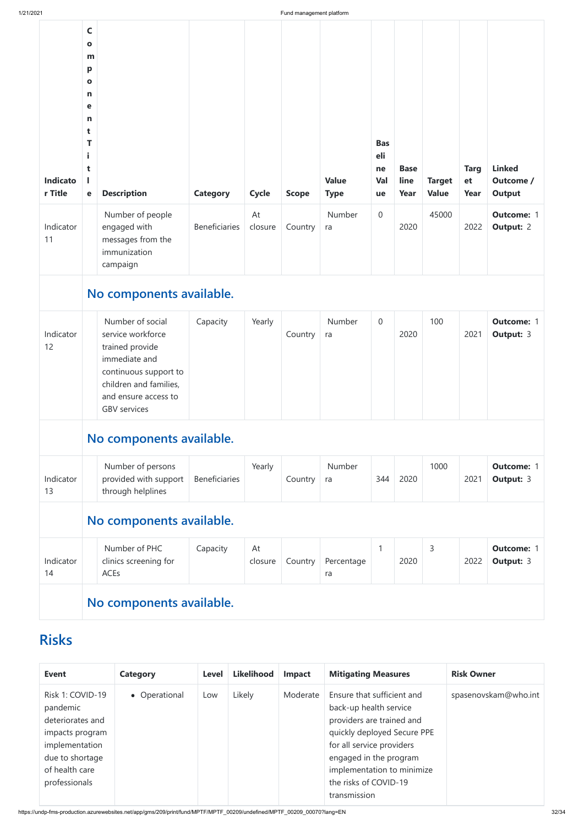https://undp-fms-production.azurewebsites.net/app/gms/209/print/fund/MPTF/MPTF\_00209/undefined/MPTF\_00209\_00070?lang=EN 32/34

| Indicato<br>r Title | $\mathsf{C}$<br>$\mathbf{o}$<br>m<br>p<br>$\mathbf{o}$<br>n<br>e<br>n<br>t<br>T<br>i<br>t<br><b>Description</b><br>$\mathbf e$                                              | <b>Category</b>      | Cycle         | <b>Scope</b> | <b>Value</b><br><b>Type</b> | <b>Bas</b><br>eli<br>ne<br>Val<br>ue | <b>Base</b><br>line<br>Year | <b>Target</b><br><b>Value</b> | <b>Targ</b><br>et<br>Year | <b>Linked</b><br>Outcome /<br><b>Output</b> |
|---------------------|-----------------------------------------------------------------------------------------------------------------------------------------------------------------------------|----------------------|---------------|--------------|-----------------------------|--------------------------------------|-----------------------------|-------------------------------|---------------------------|---------------------------------------------|
| Indicator<br>11     | Number of people<br>engaged with<br>messages from the<br>immunization<br>campaign                                                                                           | <b>Beneficiaries</b> | At<br>closure | Country      | <b>Number</b><br>ra         | $\boldsymbol{0}$                     | 2020                        | 45000                         | 2022                      | <b>Outcome: 1</b><br><b>Output: 2</b>       |
|                     | No components available.                                                                                                                                                    |                      |               |              |                             |                                      |                             |                               |                           |                                             |
| Indicator<br>12     | Number of social<br>service workforce<br>trained provide<br>immediate and<br>continuous support to<br>children and families,<br>and ensure access to<br><b>GBV</b> services | Capacity             | Yearly        | Country      | Number<br>ra                | $\boldsymbol{0}$                     | 2020                        | 100                           | 2021                      | <b>Outcome: 1</b><br><b>Output: 3</b>       |
|                     | No components available.                                                                                                                                                    |                      |               |              |                             |                                      |                             |                               |                           |                                             |
| Indicator<br>13     | Number of persons<br>provided with support<br>through helplines                                                                                                             | <b>Beneficiaries</b> | Yearly        | Country      | Number<br>ra                | 344                                  | 2020                        | 1000                          | 2021                      | <b>Outcome: 1</b><br><b>Output: 3</b>       |
|                     | No components available.                                                                                                                                                    |                      |               |              |                             |                                      |                             |                               |                           |                                             |
| Indicator<br>14     | Number of PHC<br>clinics screening for<br>ACEs                                                                                                                              | Capacity             | At<br>closure | Country      | Percentage<br>ra            | $\mathbf{1}$                         | 2020                        | 3                             | 2022                      | <b>Outcome: 1</b><br><b>Output: 3</b>       |
|                     | No components available.                                                                                                                                                    |                      |               |              |                             |                                      |                             |                               |                           |                                             |



| <b>Event</b>                                                                                                                                | <b>Category</b> | <b>Level</b> | <b>Likelihood</b> | <b>Impact</b> | <b>Mitigating Measures</b>                                                                                                                                                                                                                     | <b>Risk Owner</b>    |
|---------------------------------------------------------------------------------------------------------------------------------------------|-----------------|--------------|-------------------|---------------|------------------------------------------------------------------------------------------------------------------------------------------------------------------------------------------------------------------------------------------------|----------------------|
| Risk 1: COVID-19<br>pandemic<br>deteriorates and<br>impacts program<br>implementation<br>due to shortage<br>of health care<br>professionals | • Operational   | Low          | Likely            | Moderate      | Ensure that sufficient and<br>back-up health service<br>providers are trained and<br>quickly deployed Secure PPE<br>for all service providers<br>engaged in the program<br>implementation to minimize<br>the risks of COVID-19<br>transmission | spasenovskam@who.int |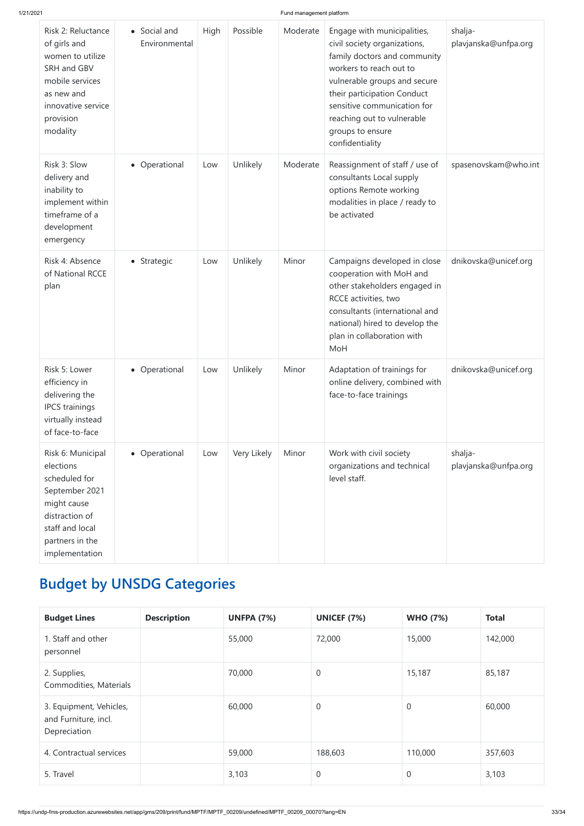| Risk 2: Reluctance<br>of girls and<br>women to utilize<br>SRH and GBV<br>mobile services<br>as new and<br>innovative service<br>provision<br>modality      | • Social and<br>Environmental | High | Possible    | Moderate | Engage with municipalities,<br>civil society organizations,<br>family doctors and community<br>workers to reach out to<br>vulnerable groups and secure<br>their participation Conduct<br>sensitive communication for<br>reaching out to vulnerable<br>groups to ensure<br>confidentiality | shalja-<br>plavjanska@unfpa.org |
|------------------------------------------------------------------------------------------------------------------------------------------------------------|-------------------------------|------|-------------|----------|-------------------------------------------------------------------------------------------------------------------------------------------------------------------------------------------------------------------------------------------------------------------------------------------|---------------------------------|
| Risk 3: Slow<br>delivery and<br>inability to<br>implement within<br>timeframe of a<br>development<br>emergency                                             | • Operational                 | Low  | Unlikely    | Moderate | Reassignment of staff / use of<br>consultants Local supply<br>options Remote working<br>modalities in place / ready to<br>be activated                                                                                                                                                    | spasenovskam@who.int            |
| Risk 4: Absence<br>of National RCCE<br>plan                                                                                                                | • Strategic                   | Low  | Unlikely    | Minor    | Campaigns developed in close<br>cooperation with MoH and<br>other stakeholders engaged in<br>RCCE activities, two<br>consultants (international and<br>national) hired to develop the<br>plan in collaboration with<br>MoH                                                                | dnikovska@unicef.org            |
| Risk 5: Lower<br>efficiency in<br>delivering the<br><b>IPCS</b> trainings<br>virtually instead<br>of face-to-face                                          | • Operational                 | Low  | Unlikely    | Minor    | Adaptation of trainings for<br>online delivery, combined with<br>face-to-face trainings                                                                                                                                                                                                   | dnikovska@unicef.org            |
| Risk 6: Municipal<br>elections<br>scheduled for<br>September 2021<br>might cause<br>distraction of<br>staff and local<br>partners in the<br>implementation | • Operational                 | Low  | Very Likely | Minor    | Work with civil society<br>organizations and technical<br>level staff.                                                                                                                                                                                                                    | shalja-<br>plavjanska@unfpa.org |

# **Budget by UNSDG Categories**

| <b>Budget Lines</b> | <b>Description</b> | <b>UNFPA (7%)</b> | <b>UNICEF (7%)</b> | <b>WHO (7%)</b> | <b>Total</b> |
|---------------------|--------------------|-------------------|--------------------|-----------------|--------------|

| 1. Staff and other<br>personnel                                 | 55,000 | 72,000   | 15,000         | 142,000 |
|-----------------------------------------------------------------|--------|----------|----------------|---------|
| 2. Supplies,<br>Commodities, Materials                          | 70,000 | $\theta$ | 15,187         | 85,187  |
| 3. Equipment, Vehicles,<br>and Furniture, incl.<br>Depreciation | 60,000 | $\theta$ | $\overline{0}$ | 60,000  |
| 4. Contractual services                                         | 59,000 | 188,603  | 110,000        | 357,603 |
| 5. Travel                                                       | 3,103  | $\theta$ | $\overline{0}$ | 3,103   |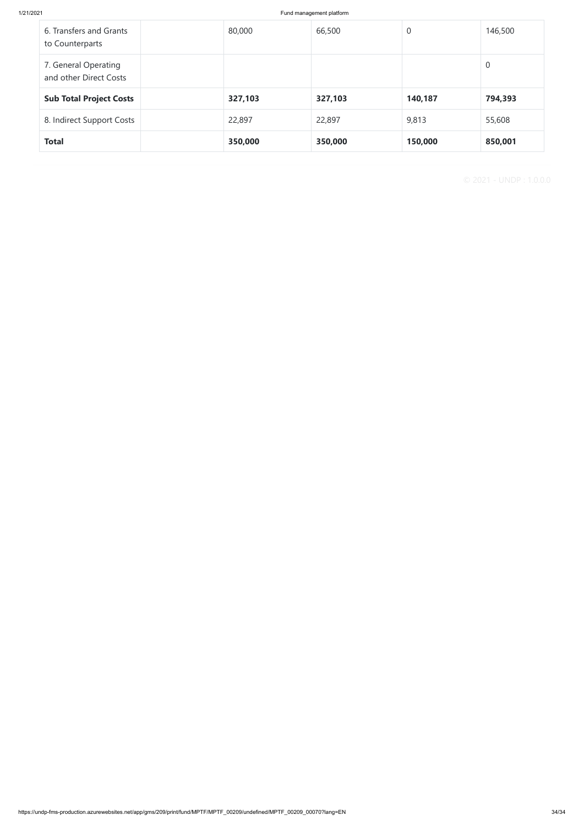| 6. Transfers and Grants<br>to Counterparts     | 80,000  | 66,500  | $\theta$ | 146,500        |
|------------------------------------------------|---------|---------|----------|----------------|
| 7. General Operating<br>and other Direct Costs |         |         |          | $\overline{0}$ |
| <b>Sub Total Project Costs</b>                 | 327,103 | 327,103 | 140,187  | 794,393        |
| 8. Indirect Support Costs                      | 22,897  | 22,897  | 9,813    | 55,608         |
| <b>Total</b>                                   | 350,000 | 350,000 | 150,000  | 850,001        |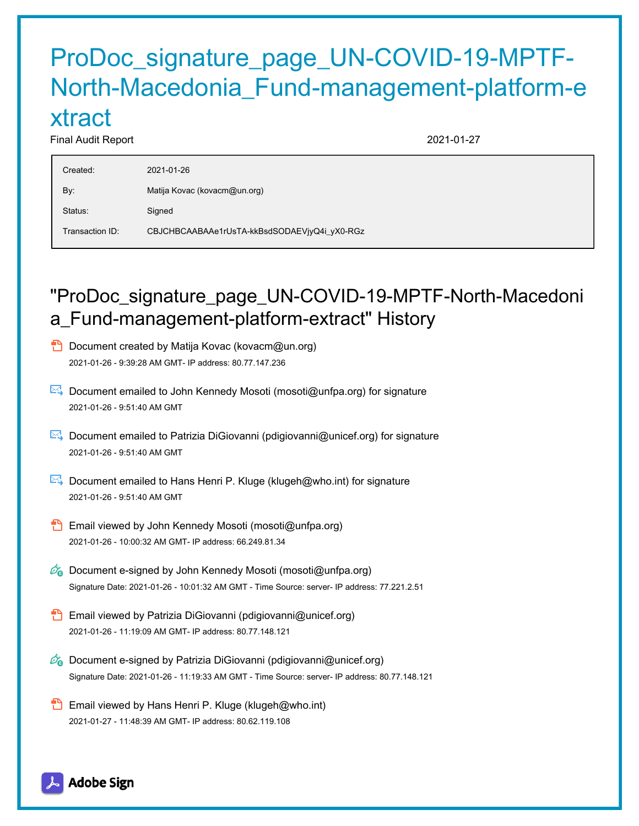## ProDoc\_signature\_page\_UN-COVID-19-MPTF-North-Macedonia\_Fund-management-platform-e xtract

### Final Audit Report 2021-01-27

| Created:        | 2021-01-26                                   |
|-----------------|----------------------------------------------|
| By:             | Matija Kovac (kovacm@un.org)                 |
| Status:         | Signed                                       |
| Transaction ID: | CBJCHBCAABAAe1rUsTA-kkBsdSODAEVjyQ4i_yX0-RGz |

## "ProDoc\_signature\_page\_UN-COVID-19-MPTF-North-Macedoni a\_Fund-management-platform-extract" History

- **D** Document created by Matija Kovac (kovacm@un.org) 2021-01-26 - 9:39:28 AM GMT- IP address: 80.77.147.236
- Document emailed to John Kennedy Mosoti (mosoti@unfpa.org) for signature 2021-01-26 - 9:51:40 AM GMT
- Document emailed to Patrizia DiGiovanni (pdigiovanni@unicef.org) for signature 2021-01-26 - 9:51:40 AM GMT
- Document emailed to Hans Henri P. Kluge (klugeh@who.int) for signature 2021-01-26 - 9:51:40 AM GMT
- Email viewed by John Kennedy Mosoti (mosoti@unfpa.org) 2021-01-26 - 10:00:32 AM GMT- IP address: 66.249.81.34
- $\mathscr{A}_{\mathbf{G}}$  Document e-signed by John Kennedy Mosoti (mosoti@unfpa.org) Signature Date: 2021-01-26 - 10:01:32 AM GMT - Time Source: server- IP address: 77.221.2.51
- **B** Email viewed by Patrizia DiGiovanni (pdigiovanni@unicef.org) 2021-01-26 - 11:19:09 AM GMT- IP address: 80.77.148.121
- $\mathscr{O}_\bullet$  Document e-signed by Patrizia DiGiovanni (pdigiovanni@unicef.org) Signature Date: 2021-01-26 - 11:19:33 AM GMT - Time Source: server- IP address: 80.77.148.121
- **Email viewed by Hans Henri P. Kluge (klugeh@who.int)** 2021-01-27 - 11:48:39 AM GMT- IP address: 80.62.119.108

Adobe Sign